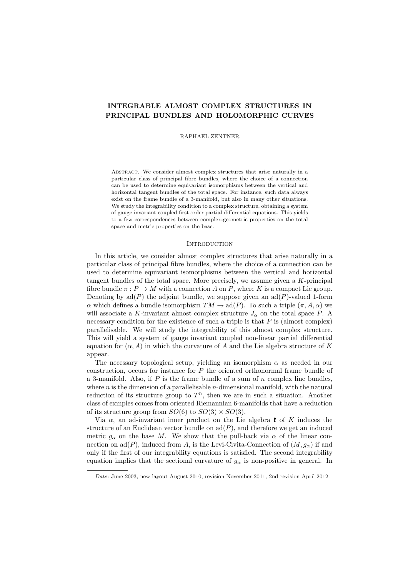# INTEGRABLE ALMOST COMPLEX STRUCTURES IN PRINCIPAL BUNDLES AND HOLOMORPHIC CURVES

RAPHAEL ZENTNER

ABSTRACT. We consider almost complex structures that arise naturally in a particular class of principal fibre bundles, where the choice of a connection can be used to determine equivariant isomorphisms between the vertical and horizontal tangent bundles of the total space. For instance, such data always exist on the frame bundle of a 3-manifold, but also in many other situations. We study the integrability condition to a complex structure, obtaining a system of gauge invariant coupled first order partial differential equations. This yields to a few correspondences between complex-geometric properties on the total space and metric properties on the base.

## **INTRODUCTION**

In this article, we consider almost complex structures that arise naturally in a particular class of principal fibre bundles, where the choice of a connection can be used to determine equivariant isomorphisms between the vertical and horizontal tangent bundles of the total space. More precisely, we assume given a K-principal fibre bundle  $\pi : P \to M$  with a connection A on P, where K is a compact Lie group. Denoting by  $ad(P)$  the adjoint bundle, we suppose given an  $ad(P)$ -valued 1-form  $\alpha$  which defines a bundle isomorphism  $TM \to \text{ad}(P)$ . To such a triple  $(\pi, A, \alpha)$  we will associate a K-invariant almost complex structure  $J_{\alpha}$  on the total space P. A necessary condition for the existence of such a triple is that  $P$  is (almost complex) parallelisable. We will study the integrability of this almost complex structure. This will yield a system of gauge invariant coupled non-linear partial differential equation for  $(\alpha, A)$  in which the curvature of A and the Lie algebra structure of K appear.

The necessary topological setup, yielding an isomorphism  $\alpha$  as needed in our construction, occurs for instance for  $P$  the oriented orthonormal frame bundle of a 3-manifold. Also, if  $P$  is the frame bundle of a sum of  $n$  complex line bundles, where  $n$  is the dimension of a parallelisable  $n$ -dimensional manifold, with the natural reduction of its structure group to  $T<sup>n</sup>$ , then we are in such a situation. Another class of exmples comes from oriented Riemannian 6-manifolds that have a reduction of its structure group from  $SO(6)$  to  $SO(3) \times SO(3)$ .

Via  $\alpha$ , an ad-invariant inner product on the Lie algebra  $\mathfrak k$  of K induces the structure of an Euclidean vector bundle on  $\text{ad}(P)$ , and therefore we get an induced metric  $g_{\alpha}$  on the base M. We show that the pull-back via  $\alpha$  of the linear connection on ad(P), induced from A, is the Levi-Civita-Connection of  $(M, g_{\alpha})$  if and only if the first of our integrability equations is satisfied. The second integrability equation implies that the sectional curvature of  $g_{\alpha}$  is non-positive in general. In

Date: June 2003, new layout August 2010, revision November 2011, 2nd revision April 2012.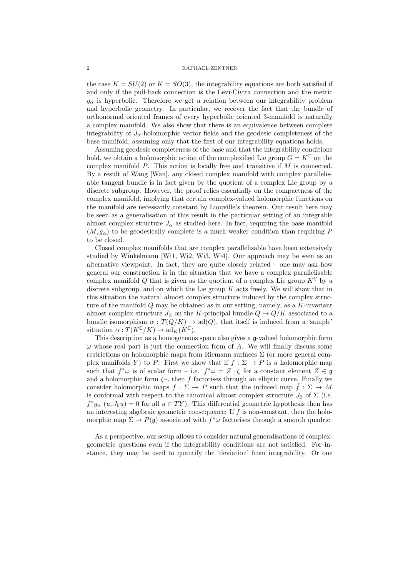## 2 RAPHAEL ZENTNER

the case  $K = SU(2)$  or  $K = SO(3)$ , the integrability equations are both satisfied if and only if the pull-back connection is the Levi-Civita connection and the metric  $g_{\alpha}$  is hyperbolic. Therefore we get a relation between our integrability problem and hyperbolic geometry. In particular, we recover the fact that the bundle of orthonormal oriented frames of every hyperbolic oriented 3-manifold is naturally a complex manifold. We also show that there is an equivalence between complete integrability of  $J_{\alpha}$ -holomorphic vector fields and the geodesic completeness of the base manifold, assuming only that the first of our integrability equations holds.

Assuming geodesic completeness of the base and that the integrability conditions hold, we obtain a holomorphic action of the complexified Lie group  $G = K^{\mathbb{C}}$  on the complex manifold  $P$ . This action is locally free and transitive if  $M$  is connected. By a result of Wang [Wan], any closed complex manifold with complex parallelisable tangent bundle is in fact given by the quotient of a complex Lie group by a discrete subgroup. However, the proof relies essentially on the compactness of the complex manifold, implying that certain complex-valued holomorphic functions on the manifold are necessarily constant by Liouville's theorem. Our result here may be seen as a generalisation of this result in the particular setting of an integrable almost complex structure  $J_{\alpha}$  as studied here. In fact, requiring the base manifold  $(M, g_{\alpha})$  to be geodesically complete is a much weaker condition than requiring P to be closed.

Closed complex manifolds that are complex parallelisable have been extensively studied by Winkelmann [Wi1, Wi2, Wi3, Wi4]. Our approach may be seen as an alternative viewpoint. In fact, they are quite closely related – one may ask how general our construction is in the situation that we have a complex parallelisable complex manifold Q that is given as the quotient of a complex Lie group  $K^{\mathbb{C}}$  by a discrete subgroup, and on which the Lie group  $K$  acts freely. We will show that in this situation the natural almost complex structure induced by the complex structure of the manifold  $Q$  may be obtained as in our setting, namely, as a  $K$ -invariant almost complex structure  $J_{\overline{\alpha}}$  on the K-principal bundle  $Q \to Q/K$  associated to a bundle isomorphism  $\bar{\alpha}: T(Q/K) \to \text{ad}(Q)$ , that itself is induced from a 'sample' situation  $\alpha: T(K^{\mathbb{C}}/K) \to \mathrm{ad}_K(K^{\mathbb{C}}).$ 

This description as a homogeneous space also gives a g-valued holomorphic form  $\omega$  whose real part is just the connection form of A. We will finally discuss some restrictions on holomorphic maps from Riemann surfaces  $\Sigma$  (or more general complex manifolds Y to P. First we show that if  $f : \Sigma \to P$  is a holomorphic map such that  $f^*\omega$  is of scalar form – i.e.  $f^*\omega = Z \cdot \zeta$  for a constant element  $Z \in \mathfrak{g}$ and a holomorphic form  $\zeta$ , then f factorises through an elliptic curve. Finally we consider holomorphic maps  $f : \Sigma \to P$  such that the induced map  $\bar{f} : \Sigma \to M$ is conformal with respect to the canonical almost complex structure  $J_0$  of  $\Sigma$  (i.e.  $\bar{f}^* g_\alpha(u, J_0 u) = 0$  for all  $u \in TY$ ). This differential geometric hypothesis then has an interesting algebraic geometric consequence: If f is non-constant, then the holomorphic map  $\Sigma \to P(\mathfrak{g})$  associated with  $f^*\omega$  factorises through a smooth quadric.

As a perspective, our setup allows to consider natural generalisations of complexgeometric questions even if the integrability conditions are not satisfied. For instance, they may be used to quantify the 'deviation' from integrability. Or one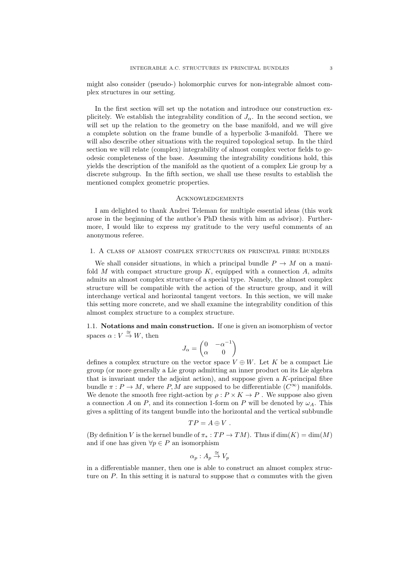might also consider (pseudo-) holomorphic curves for non-integrable almost complex structures in our setting.

In the first section will set up the notation and introduce our construction explicitely. We establish the integrability condition of  $J_{\alpha}$ . In the second section, we will set up the relation to the geometry on the base manifold, and we will give a complete solution on the frame bundle of a hyperbolic 3-manifold. There we will also describe other situations with the required topological setup. In the third section we will relate (complex) integrability of almost complex vector fields to geodesic completeness of the base. Assuming the integrability conditions hold, this yields the description of the manifold as the quotient of a complex Lie group by a discrete subgroup. In the fifth section, we shall use these results to establish the mentioned complex geometric properties.

## Acknowledgements

I am delighted to thank Andrei Teleman for multiple essential ideas (this work arose in the beginning of the author's PhD thesis with him as advisor). Furthermore, I would like to express my gratitude to the very useful comments of an anonymous referee.

1. A class of almost complex structures on principal fibre bundles

We shall consider situations, in which a principal bundle  $P \to M$  on a manifold M with compact structure group  $K$ , equipped with a connection  $A$ , admits admits an almost complex structure of a special type. Namely, the almost complex structure will be compatible with the action of the structure group, and it will interchange vertical and horizontal tangent vectors. In this section, we will make this setting more concrete, and we shall examine the integrability condition of this almost complex structure to a complex structure.

1.1. Notations and main construction. If one is given an isomorphism of vector spaces  $\alpha: V \stackrel{\cong}{\rightarrow} W$ , then

$$
J_{\alpha} = \begin{pmatrix} 0 & -\alpha^{-1} \\ \alpha & 0 \end{pmatrix}
$$

defines a complex structure on the vector space  $V \oplus W$ . Let K be a compact Lie group (or more generally a Lie group admitting an inner product on its Lie algebra that is invariant under the adjoint action), and suppose given a  $K$ -principal fibre bundle  $\pi : P \to M$ , where P, M are supposed to be differentiable  $(C^{\infty})$  manifolds. We denote the smooth free right-action by  $\rho: P \times K \to P$ . We suppose also given a connection A on P, and its connection 1-form on P will be denoted by  $\omega_A$ . This gives a splitting of its tangent bundle into the horizontal and the vertical subbundle

$$
TP = A \oplus V.
$$

(By definition V is the kernel bundle of  $\pi_* : TP \to TM$ ). Thus if  $\dim(K) = \dim(M)$ and if one has given  $\forall p \in P$  an isomorphism

$$
\alpha_p: A_p \stackrel{\cong}{\to} V_p
$$

in a differentiable manner, then one is able to construct an almost complex structure on P. In this setting it is natural to suppose that  $\alpha$  commutes with the given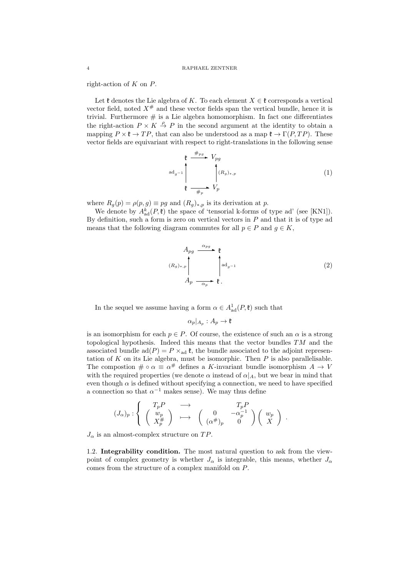right-action of  $K$  on  $P$ .

Let  $\mathfrak k$  denotes the Lie algebra of K. To each element  $X \in \mathfrak k$  corresponds a vertical vector field, noted  $X^{\#}$  and these vector fields span the vertical bundle, hence it is trivial. Furthermore  $\#$  is a Lie algebra homomorphism. In fact one differentiates the right-action  $P \times K \stackrel{\rho}{\to} P$  in the second argument at the identity to obtain a mapping  $P \times \mathfrak{k} \to TP$ , that can also be understood as a map  $\mathfrak{k} \to \Gamma(P, TP)$ . These vector fields are equivariant with respect to right-translations in the following sense

$$
\begin{array}{ccc}\n\mathfrak{k} & \xrightarrow{\#_{pg}} & V_{pg} \\
\downarrow^{\text{ad}}_{g^{-1}} & & \downarrow^{\text{(R}}_{g})_{*,p} \\
\mathfrak{k} & \xrightarrow{\#_{p}} & V_{p}\n\end{array} \tag{1}
$$

where  $R_g(p) = \rho(p, g) \equiv pg$  and  $(R_g)_{*,p}$  is its derivation at p.

We denote by  $A_{\text{ad}}^{k}(P, \mathfrak{k})$  the space of 'tensorial k-forms of type ad' (see [KN1]). By definition, such a form is zero on vertical vectors in  $P$  and that it is of type ad means that the following diagram commutes for all  $p \in P$  and  $g \in K$ ,

$$
A_{pg} \xrightarrow{\alpha_{pg}} \mathfrak{k}
$$
\n
$$
(R_g)_{*,p}
$$
\n
$$
A_p \xrightarrow{\alpha_p} \mathfrak{k}.
$$
\n(2)

In the sequel we assume having a form  $\alpha \in A_{ad}^1(P, \mathfrak{k})$  such that

$$
\alpha_p|_{A_p}:A_p\to \mathfrak{k}
$$

is an isomorphism for each  $p \in P$ . Of course, the existence of such an  $\alpha$  is a strong topological hypothesis. Indeed this means that the vector bundles  $TM$  and the associated bundle ad( $P$ ) =  $P \times_{ad} \mathfrak{k}$ , the bundle associated to the adjoint representation of  $K$  on its Lie algebra, must be isomorphic. Then  $P$  is also parallelisable. The compostion  $\#\circ \alpha \equiv \alpha^{\#}$  defines a K-invariant bundle isomorphism  $A \to V$ with the required properties (we denote  $\alpha$  instead of  $\alpha|_A$ , but we bear in mind that even though  $\alpha$  is defined without specifying a connection, we need to have specified a connection so that  $\alpha^{-1}$  makes sense). We may thus define

$$
(J_{\alpha})_p : \left\{ \begin{array}{c} T_p P \\ \begin{pmatrix} w_p \\ X_p^{\#} \end{pmatrix} \end{array} \right\} \longrightarrow \begin{array}{c} T_p P \\ \begin{pmatrix} 0 & -\alpha_p^{-1} \\ (\alpha^{\#})_p & 0 \end{pmatrix} \begin{pmatrix} w_p \\ X \end{pmatrix} . \end{array} \right.
$$

 $J_{\alpha}$  is an almost-complex structure on TP.

1.2. Integrability condition. The most natural question to ask from the viewpoint of complex geometry is whether  $J_{\alpha}$  is integrable, this means, whether  $J_{\alpha}$ comes from the structure of a complex manifold on P.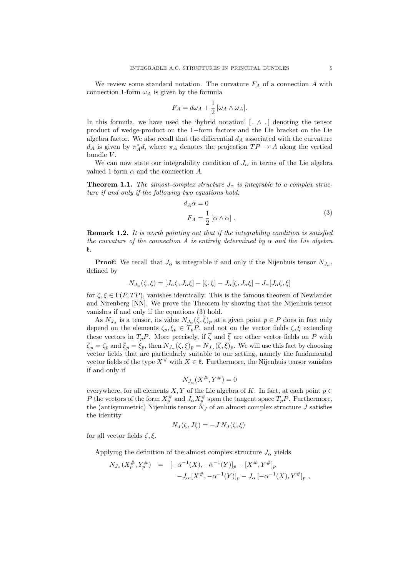We review some standard notation. The curvature  $F_A$  of a connection A with connection 1-form  $\omega_A$  is given by the formula

$$
F_A = d\omega_A + \frac{1}{2} [\omega_A \wedge \omega_A].
$$

In this formula, we have used the 'hybrid notation'  $[ \cdot \wedge \cdot ]$  denoting the tensor product of wedge-product on the 1−form factors and the Lie bracket on the Lie algebra factor. We also recall that the differential  $d_A$  associated with the curvature  $d_A$  is given by  $\pi_A^*d$ , where  $\pi_A$  denotes the projection  $TP \to A$  along the vertical bundle  $V$ .

We can now state our integrability condition of  $J_{\alpha}$  in terms of the Lie algebra valued 1-form  $\alpha$  and the connection A.

**Theorem 1.1.** The almost-complex structure  $J_{\alpha}$  is integrable to a complex structure if and only if the following two equations hold:

$$
d_A \alpha = 0
$$
  
\n
$$
F_A = \frac{1}{2} [\alpha \wedge \alpha] .
$$
\n(3)

**Remark 1.2.** It is worth pointing out that if the integrability condition is satisfied the curvature of the connection A is entirely determined by  $\alpha$  and the Lie algebra k.

**Proof:** We recall that  $J_{\alpha}$  is integrable if and only if the Nijenhuis tensor  $N_{J_{\alpha}}$ , defined by

$$
N_{J_{\alpha}}(\zeta,\xi) = [J_{\alpha}\zeta, J_{\alpha}\xi] - [\zeta,\xi] - J_{\alpha}[\zeta, J_{\alpha}\xi] - J_{\alpha}[J_{\alpha}\zeta,\xi]
$$

for  $\zeta, \xi \in \Gamma(P, TP)$ , vanishes identically. This is the famous theorem of Newlander and Nirenberg [NN]. We prove the Theorem by showing that the Nijenhuis tensor vanishes if and only if the equations (3) hold.

As  $N_{J_{\alpha}}$  is a tensor, its value  $N_{J_{\alpha}}(\zeta,\xi)_{p}$  at a given point  $p \in P$  does in fact only depend on the elements  $\zeta_p, \zeta_p \in T_pP$ , and not on the vector fields  $\zeta, \xi$  extending these vectors in  $T_pP$ . More precisely, if  $\overline{\zeta}$  and  $\overline{\zeta}$  are other vector fields on P with  $\zeta_p = \zeta_p$  and  $\xi_p = \xi_p$ , then  $N_{J_\alpha}(\zeta, \xi)_p = N_{J_\alpha}(\zeta, \xi)_p$ . We will use this fact by choosing vector fields that are particularly suitable to our setting, namely the fundamental vector fields of the type  $X^{\#}$  with  $X \in \mathfrak{k}$ . Furthermore, the Nijenhuis tensor vanishes if and only if

$$
N_{J_\alpha}(X^\#,Y^\#)=0
$$

everywhere, for all elements  $X, Y$  of the Lie algebra of K. In fact, at each point  $p \in$ P the vectors of the form  $X_p^{\#}$  and  $J_{\alpha}X_p^{\#}$  span the tangent space  $T_pP$ . Furthermore, the (antisymmetric) Nijenhuis tensor  $N_J$  of an almost complex structure J satisfies the identity

$$
N_J(\zeta, J\xi) = -J N_J(\zeta, \xi)
$$

for all vector fields  $\zeta, \xi$ .

Applying the definition of the almost complex structure  $J_{\alpha}$  yields

$$
N_{J_{\alpha}}(X_p^{\#}, Y_p^{\#}) = [-\alpha^{-1}(X), -\alpha^{-1}(Y)]_p - [X^{\#}, Y^{\#}]_p
$$
  

$$
-J_{\alpha}[X^{\#}, -\alpha^{-1}(Y)]_p - J_{\alpha}[-\alpha^{-1}(X), Y^{\#}]_p,
$$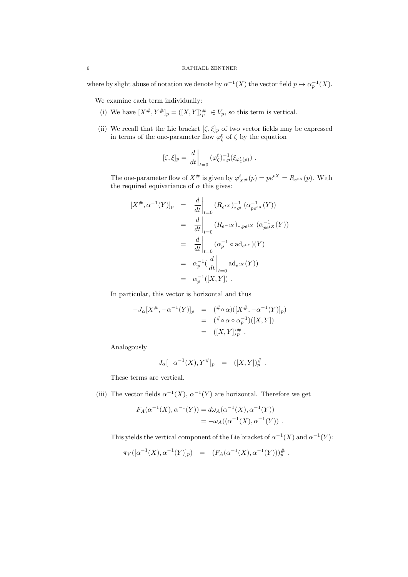where by slight abuse of notation we denote by  $\alpha^{-1}(X)$  the vector field  $p \mapsto \alpha_p^{-1}(X)$ .

We examine each term individually:

- (i) We have  $[X^{\#}, Y^{\#}]_p = ([X, Y])_p^{\#} \in V_p$ , so this term is vertical.
- (ii) We recall that the Lie bracket  $[\zeta, \xi]_p$  of two vector fields may be expressed in terms of the one-parameter flow  $\varphi_{\zeta}^{t}$  of  $\zeta$  by the equation

$$
[\zeta,\xi]_p = \left. \frac{d}{dt} \right|_{t=0} (\varphi_{\zeta}^t)^{-1}_{*,p} (\xi_{\varphi_{\zeta}^t(p)}) .
$$

The one-parameter flow of  $X^{\#}$  is given by  $\varphi^t_{X^{\#}}(p) = pe^{tX} = R_{e^{tX}}(p)$ . With the required equivariance of  $\alpha$  this gives:

$$
[X^{\#}, \alpha^{-1}(Y)]_p = \frac{d}{dt}\Big|_{t=0} (R_{e^{tX}})^{-1}_{*,p} (\alpha_{pe^{tX}}^{-1}(Y))
$$
  
\n
$$
= \frac{d}{dt}\Big|_{t=0} (R_{e^{-tX}})_{*,pe^{tX}} (\alpha_{pe^{tX}}^{-1}(Y))
$$
  
\n
$$
= \frac{d}{dt}\Big|_{t=0} (\alpha_p^{-1} \circ \mathrm{ad}_{e^{tX}})(Y)
$$
  
\n
$$
= \alpha_p^{-1}(\frac{d}{dt}\Big|_{t=0} \mathrm{ad}_{e^{tX}}(Y))
$$
  
\n
$$
= \alpha_p^{-1}([X, Y]).
$$

In particular, this vector is horizontal and thus

$$
-J_{\alpha}[X^{\#}, -\alpha^{-1}(Y)]_{p} = (\mathscr{F} \circ \alpha)([X^{\#}, -\alpha^{-1}(Y)]_{p})
$$
  

$$
= (\mathscr{F} \circ \alpha \circ \alpha_{p}^{-1})([X, Y])
$$
  

$$
= ([X, Y])^{\#}_{p}.
$$

Analogously

$$
-J_{\alpha}[-\alpha^{-1}(X), Y^{\#}]_{p} = ([X,Y])_{p}^{\#}.
$$

These terms are vertical.

(iii) The vector fields  $\alpha^{-1}(X)$ ,  $\alpha^{-1}(Y)$  are horizontal. Therefore we get

$$
F_A(\alpha^{-1}(X), \alpha^{-1}(Y)) = d\omega_A(\alpha^{-1}(X), \alpha^{-1}(Y))
$$
  
=  $-\omega_A((\alpha^{-1}(X), \alpha^{-1}(Y))$ .

This yields the vertical component of the Lie bracket of  $\alpha^{-1}(X)$  and  $\alpha^{-1}(Y)$ :

$$
\pi_V([\alpha^{-1}(X), \alpha^{-1}(Y)]_p) = -(F_A(\alpha^{-1}(X), \alpha^{-1}(Y)))_p^{\#}.
$$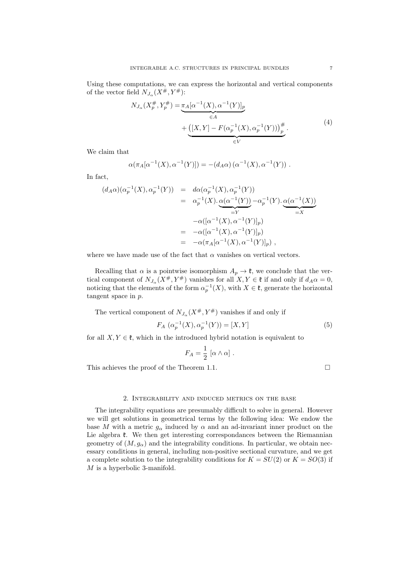Using these computations, we can express the horizontal and vertical components of the vector field  $N_{J_{\alpha}}(X^{\#}, Y^{\#})$ :

$$
N_{J_{\alpha}}(X_p^{\#}, Y_p^{\#}) = \underbrace{\pi_A[\alpha^{-1}(X), \alpha^{-1}(Y)]_p}_{\in A} + \underbrace{([X, Y] - F(\alpha_p^{-1}(X), \alpha_p^{-1}(Y)))_p^{\#}}_{\in V}.
$$
\n(4)

We claim that

$$
\alpha(\pi_A[\alpha^{-1}(X), \alpha^{-1}(Y)]) = -(d_A\alpha) (\alpha^{-1}(X), \alpha^{-1}(Y)) .
$$

In fact,

$$
(d_A\alpha)(\alpha_p^{-1}(X), \alpha_p^{-1}(Y)) = d\alpha(\alpha_p^{-1}(X), \alpha_p^{-1}(Y))
$$
  
\n
$$
= \alpha_p^{-1}(X) \cdot \underbrace{\alpha(\alpha^{-1}(Y))}_{=Y} - \alpha_p^{-1}(Y) \cdot \underbrace{\alpha(\alpha^{-1}(X))}_{=X}
$$
  
\n
$$
- \alpha([\alpha^{-1}(X), \alpha^{-1}(Y)]_p)
$$
  
\n
$$
= -\alpha([\alpha^{-1}(X), \alpha^{-1}(Y)]_p)
$$
  
\n
$$
= -\alpha(\pi_A[\alpha^{-1}(X), \alpha^{-1}(Y)]_p),
$$

where we have made use of the fact that  $\alpha$  vanishes on vertical vectors.

Recalling that  $\alpha$  is a pointwise isomorphism  $A_p \to \mathfrak{k}$ , we conclude that the vertical component of  $N_{J_\alpha}(X^\#, Y^\#)$  vanishes for all  $X, Y \in \mathfrak{k}$  if and only if  $d_A \alpha = 0$ , noticing that the elements of the form  $\alpha_p^{-1}(X)$ , with  $X \in \mathfrak{k}$ , generate the horizontal tangent space in  $p$ .

The vertical component of  $N_{J_{\alpha}}(X^{\#}, Y^{\#})$  vanishes if and only if

$$
F_A\ (\alpha_p^{-1}(X), \alpha_p^{-1}(Y)) = [X, Y] \tag{5}
$$

for all  $X, Y \in \mathfrak{k}$ , which in the introduced hybrid notation is equivalent to

$$
F_A = \frac{1}{2} [\alpha \wedge \alpha] .
$$

This achieves the proof of the Theorem 1.1.  $\Box$ 

## 2. Integrability and induced metrics on the base

The integrability equations are presumably difficult to solve in general. However we will get solutions in geometrical terms by the following idea: We endow the base M with a metric  $g_{\alpha}$  induced by  $\alpha$  and an ad-invariant inner product on the Lie algebra  $\mathfrak k$ . We then get interesting correspondances between the Riemannian geometry of  $(M, g_{\alpha})$  and the integrability conditions. In particular, we obtain necessary conditions in general, including non-positive sectional curvature, and we get a complete solution to the integrability conditions for  $K = SU(2)$  or  $K = SO(3)$  if M is a hyperbolic 3-manifold.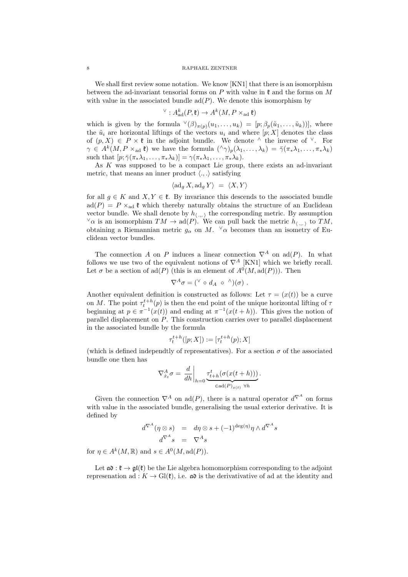#### 8 RAPHAEL ZENTNER

We shall first review some notation. We know [KN1] that there is an isomorphism between the ad-invariant tensorial forms on  $P$  with value in  $\mathfrak k$  and the forms on  $M$ with value in the associated bundle  $ad(P)$ . We denote this isomorphism by

$$
{}^{\vee}:A^k_{\mathrm{ad}}(P,\mathfrak{k})\to A^k(M,P\times_{\mathrm{ad}}\mathfrak{k})
$$

which is given by the formula  $\mathcal{V}(\beta)_{\pi(p)}(u_1,\ldots,u_k) = [p; \beta_p(\tilde{u}_1,\ldots,\tilde{u}_k))]$ , where the  $\tilde{u}_i$  are horizontal liftings of the vectors  $u_i$  and where  $[p; X]$  denotes the class of  $(p, X) \in P \times \mathfrak{k}$  in the adjoint bundle. We denote  $\wedge$  the inverse of  $\vee$ . For  $\gamma \in A^k(M, P \times_{\text{ad}} \mathfrak{k})$  we have the formula  $({}^{\wedge}\gamma)_p(\lambda_1, \ldots, \lambda_k) = \overline{\gamma}(\pi_*\lambda_1, \ldots, \pi_*\lambda_k)$ such that  $[p; \bar{\gamma}(\pi_*\lambda_1, \ldots, \pi_*\lambda_k)] = \gamma(\pi_*\lambda_1, \ldots, \pi_*\lambda_k).$ 

As  $K$  was supposed to be a compact Lie group, there exists an ad-invariant metric, that means an inner product  $\langle ., . \rangle$  satisfying

$$
\langle \mathrm{ad}_g X, \mathrm{ad}_g Y \rangle = \langle X, Y \rangle
$$

for all  $g \in K$  and  $X, Y \in \mathfrak{k}$ . By invariance this descends to the associated bundle  $ad(P) = P \times_{ad} \mathfrak{k}$  which thereby naturally obtains the structure of an Euclidean vector bundle. We shall denote by  $h_{(\ldots)}$  the corresponding metric. By assumption  $\vee \alpha$  is an isomorphism  $TM \to \text{ad}(P)$ . We can pull back the metric  $h_{\langle \dots \rangle}$  to  $TM$ , obtaining a Riemannian metric  $g_{\alpha}$  on M.  $\vee \alpha$  becomes than an isometry of Euclidean vector bundles.

The connection A on P induces a linear connection  $\nabla^A$  on ad(P). In what follows we use two of the equivalent notions of  $\nabla^A$  [KN1] which we briefly recall. Let  $\sigma$  be a section of  $\text{ad}(P)$  (this is an element of  $A^0(M, \text{ad}(P))$ ). Then

$$
\nabla^A \sigma = (^\vee \circ d_A \circ ^\wedge)(\sigma) .
$$

Another equivalent definition is constructed as follows: Let  $\tau = (x(t))$  be a curve on M. The point  $\tau_t^{t+h}(p)$  is then the end point of the unique horizontal lifting of  $\tau$ beginning at  $p \in \pi^{-1}(x(t))$  and ending at  $\pi^{-1}(x(t+h))$ . This gives the notion of parallel displacement on  $P$ . This construction carries over to parallel displacement in the associated bundle by the formula

$$
\tau_t^{t+h}([p;X]) := [\tau_t^{t+h}(p);X]
$$

(which is defined independtly of representatives). For a section  $\sigma$  of the associated bundle one then has

$$
\nabla_{\dot{x}_t}^A \sigma = \left. \frac{d}{dh} \right|_{h=0} \underbrace{\tau_{t+h}^t (\sigma(x(t+h)))}_{\in \text{ad}(P)_{x(t)} \ \forall h}.
$$

Given the connection  $\nabla^A$  on ad(P), there is a natural operator  $d^{\nabla^A}$  on forms with value in the associated bundle, generalising the usual exterior derivative. It is defined by

$$
d^{\nabla^A}(\eta \otimes s) = d\eta \otimes s + (-1)^{\deg(\eta)} \eta \wedge d^{\nabla^A} s
$$

$$
d^{\nabla^A} s = \nabla^A s
$$

for  $\eta \in A^k(M, \mathbb{R})$  and  $s \in A^0(M, \text{ad}(P)).$ 

Let  $\mathfrak{a}\mathfrak{d} : \mathfrak{k} \to \mathfrak{gl}(\mathfrak{k})$  be the Lie algebra homomorphism corresponding to the adjoint represenation ad :  $K \to Gl(\mathfrak{k})$ , i.e.  $\mathfrak{a} \mathfrak{d}$  is the derivativative of ad at the identity and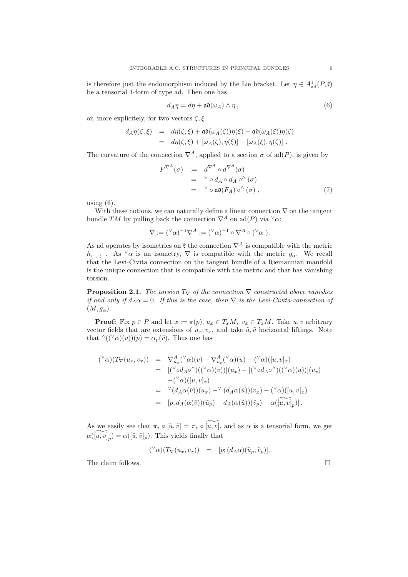is therefore just the endomorphism induced by the Lie bracket. Let  $\eta \in A^1_{ad}(P, \mathfrak{k})$ be a tensorial 1-form of type ad. Then one has

$$
d_A \eta = d\eta + \mathfrak{a} \mathfrak{d}(\omega_A) \wedge \eta \,, \tag{6}
$$

or, more explicitely, for two vectors  $\zeta, \xi$ 

$$
d_A \eta(\zeta, \xi) = d\eta(\zeta, \xi) + \mathfrak{a} \mathfrak{d}(\omega_A(\zeta)) \eta(\xi) - \mathfrak{a} \mathfrak{d}(\omega_A(\xi)) \eta(\zeta)
$$
  
= 
$$
d\eta(\zeta, \xi) + [\omega_A(\zeta), \eta(\xi)] - [\omega_A(\xi), \eta(\zeta)].
$$

The curvature of the connection  $\nabla^A$ , applied to a section  $\sigma$  of ad(P), is given by

$$
F^{\nabla^{A}}(\sigma) := d^{\nabla^{A}} \circ d^{\nabla^{A}}(\sigma)
$$
  
=  $^{\vee} \circ d_{A} \circ d_{A} \circ^{\wedge} (\sigma)$   
=  $^{\vee} \circ \mathfrak{ad}(F_{A}) \circ^{\wedge} (\sigma)$ , (7)

using  $(6)$ .

With these notions, we can naturally define a linear connection  $\nabla$  on the tangent bundle TM by pulling back the connection  $\nabla^A$  on ad(P) via  $\vee \alpha$ :

$$
\nabla := ({}^{\vee}\alpha)^{-1}\nabla^{A} := ({}^{\vee}\alpha)^{-1} \circ \nabla^{A} \circ ({}^{\vee}\alpha).
$$

As ad operates by isometries on  $\mathfrak k$  the connection  $\nabla^A$  is compatible with the metric  $h_{\langle.,.\rangle}$ . As  $\vee \alpha$  is an isometry,  $\nabla$  is compatible with the metric  $g_{\alpha}$ . We recall that the Levi-Civita connection on the tangent bundle of a Riemannian manifold is the unique connection that is compatible with the metric and that has vanishing torsion.

**Proposition 2.1.** The torsion  $T_\nabla$  of the connection  $\nabla$  constructed above vanishes if and only if  $d_A \alpha = 0$ . If this is the case, then  $\nabla$  is the Levi-Civita-connection of  $(M, g_{\alpha}).$ 

**Proof:** Fix  $p \in P$  and let  $x := \pi(p)$ ,  $u_x \in T_xM$ ,  $v_x \in T_xM$ . Take  $u, v$  arbitrary vector fields that are extensions of  $u_x, v_x$ , and take  $\tilde{u}, \tilde{v}$  horizontal liftings. Note that  $\wedge ((\vee \alpha)(v))(p) = \alpha_p(\tilde{v})$ . Thus one has

$$
\begin{array}{rcl}\n(^{\vee}\alpha)(T_{\nabla}(u_x, v_x)) & = & \nabla^A_{u_x} (^{\vee}\alpha)(v) - \nabla^A_{v_x} (^{\vee}\alpha)(u) - (^{\vee}\alpha)([u, v]_x) \\
 & = & [(^{\vee}\circ d_A \circ^{\wedge})((^{\vee}\alpha)(v))](u_x) - [(^{\vee}\circ d_A \circ^{\wedge})((^{\vee}\alpha)(u))](v_x) \\
 & - (^{\vee}\alpha)([u, v]_x) \\
 & = & \nabla^A_{v_x} (d_A \alpha(\tilde{v})) (u_x) - ^{\vee}(d_A \alpha(\tilde{u})) (v_x) - (^{\vee}\alpha)([u, v]_x) \\
 & = & [p; d_A(\alpha(\tilde{v}))(\tilde{u}_p) - d_A(\alpha(\tilde{u}))(\tilde{v}_p) - \alpha(\tilde{[u, v]_p})].\n\end{array}
$$

As we easily see that  $\pi_* \circ [\tilde{u}, \tilde{v}] = \pi_* \circ \widetilde{[u, v]}$ , and as  $\alpha$  is a tensorial form, we get  $\alpha(\widetilde{[u,v]}_p) = \alpha([\tilde{u}, \tilde{v}]_p)$ . This yields finally that

$$
({}^{\vee}\alpha)(T_{\nabla}(u_x,v_x)) = [p; (d_A\alpha)(\tilde{u}_p,\tilde{v}_p)].
$$

The claim follows.  $\Box$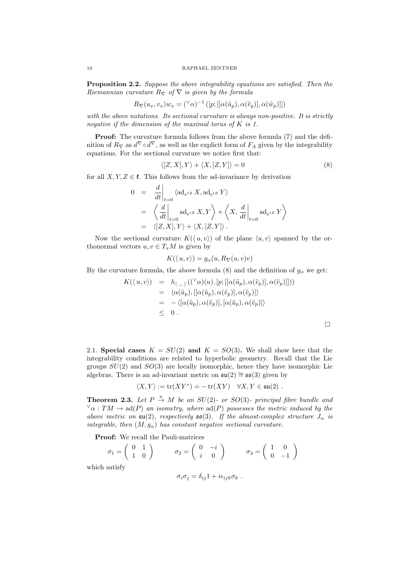Proposition 2.2. Suppose the above integrability equations are satisfied. Then the Riemannian curvature  $R_{\nabla}$  of  $\nabla$  is given by the formula

$$
R_{\nabla}(u_x, v_x)w_x = (\nabla \alpha)^{-1} ([p; [[\alpha(\tilde{u}_p), \alpha(\tilde{v}_p)], \alpha(\tilde{w}_p)]])
$$

with the above notations. Its sectional curvature is always non-positive. It is strictly negative if the dimension of the maximal torus of K is 1.

Proof: The curvature formula follows from the above formula (7) and the definition of  $R_{\nabla}$  as  $d^{\nabla} \circ d^{\nabla}$ , as well as the explicit form of  $F_A$  given by the integrability equations. For the sectional curvature we notice first that:

$$
\langle [Z, X], Y \rangle + \langle X, [Z, Y] \rangle = 0 \tag{8}
$$

for all  $X, Y, Z \in \mathfrak{k}$ . This follows from the ad-invariance by derivation

$$
0 = \frac{d}{dt}\Big|_{t=0} \langle \mathrm{ad}_{e^{tZ}} X, \mathrm{ad}_{e^{tZ}} Y \rangle
$$
  
\n
$$
= \left\langle \frac{d}{dt}\Big|_{t=0} \mathrm{ad}_{e^{tZ}} X, Y \right\rangle + \left\langle X, \frac{d}{dt}\Big|_{t=0} \mathrm{ad}_{e^{tZ}} Y \right\rangle
$$
  
\n
$$
= \left\langle [Z, X], Y \right\rangle + \left\langle X, [Z, Y] \right\rangle.
$$

Now the sectional curvature  $K(\langle u, v \rangle)$  of the plane  $\langle u, v \rangle$  spanned by the orthonormal vectors  $u, v \in T_xM$  is given by

$$
K(\langle u, v \rangle) = g_{\alpha}(u, R_{\nabla}(u, v)v)
$$

By the curvature formula, the above formula (8) and the definition of  $g_{\alpha}$  we get:

$$
K(\langle u, v \rangle) = h_{\langle., . \rangle}((\langle \alpha \rangle(u), [p; [[\alpha(\tilde{u}_p), \alpha(\tilde{v}_p)], \alpha(\tilde{v}_p)]]))
$$
  
\n
$$
= \langle \alpha(\tilde{u}_p), [[\alpha(\tilde{u}_p), \alpha(\tilde{v}_p)], \alpha(\tilde{v}_p)] \rangle
$$
  
\n
$$
= - \langle [\alpha(\tilde{u}_p), \alpha(\tilde{v}_p)], [\alpha(\tilde{u}_p), \alpha(\tilde{v}_p)] \rangle
$$
  
\n
$$
\leq 0.
$$

2.1. Special cases  $K = SU(2)$  and  $K = SO(3)$ . We shall show here that the integrability conditions are related to hyperbolic geometry. Recall that the Lie groups  $SU(2)$  and  $SO(3)$  are locally isomorphic, hence they have isomorphic Lie algebras. There is an ad-invariant metric on  $\mathfrak{su}(2) \cong \mathfrak{so}(3)$  given by

$$
\langle X, Y \rangle := \text{tr}(XY^*) = -\text{tr}(XY) \quad \forall X, Y \in \mathfrak{su}(2) .
$$

**Theorem 2.3.** Let  $P \stackrel{\pi}{\rightarrow} M$  be an  $SU(2)$ - or  $SO(3)$ - principal fibre bundle and  $\sqrt{\alpha}: TM \to \text{ad}(P)$  an isometry, where  $\text{ad}(P)$  possesses the metric induced by the above metric on  $\mathfrak{su}(2)$ , respectively  $\mathfrak{so}(3)$ . If the almost-complex structure  $J_{\alpha}$  is integrable, then  $(M, g_{\alpha})$  has constant negative sectional curvature.

Proof: We recall the Pauli-matrices

$$
\sigma_1 = \begin{pmatrix} 0 & 1 \\ 1 & 0 \end{pmatrix} \qquad \sigma_2 = \begin{pmatrix} 0 & -i \\ i & 0 \end{pmatrix} \qquad \sigma_3 = \begin{pmatrix} 1 & 0 \\ 0 & -1 \end{pmatrix}
$$
 which satisfy

 $\sigma_i \sigma_j = \delta_{ij} 1 + i \epsilon_{ijk} \sigma_k$ .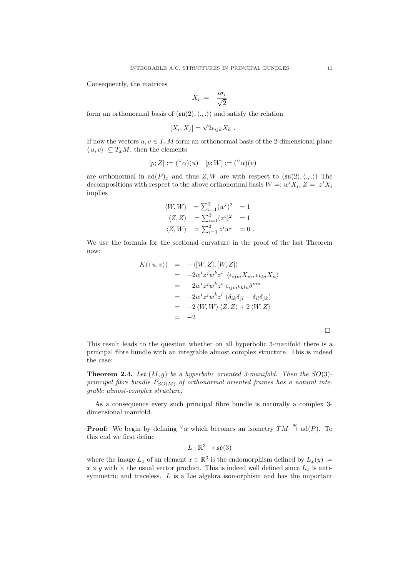Consequently, the matrices

$$
X_i := -\frac{i\sigma_i}{\sqrt{2}}
$$

form an orthonormal basis of  $(\mathfrak{su}(2),\langle.,.\rangle)$  and satisfy the relation

$$
[X_i, X_j] = \sqrt{2} \epsilon_{ijk} X_k .
$$

If now the vectors  $u, v \in T_xM$  form an orthonormal basis of the 2-dimensional plane  $\langle u, v \rangle \subset T_xM$ , then the elements

$$
[p;Z] := ({}^{\vee}\alpha)(u) \quad [p;W] := ({}^{\vee}\alpha)(v)
$$

are orthonormal in  $ad(P)_x$  and thus Z, W are with respect to  $(\mathfrak{su}(2),\langle.,.\rangle)$  The decompositions with respect to the above orthonormal basis  $W =: w^i X_i, Z =: z^i X_i$ implies

$$
\langle W, W \rangle = \sum_{i=1}^{3} (w^i)^2 = 1
$$
  

$$
\langle Z, Z \rangle = \sum_{i=1}^{3} (z^i)^2 = 1
$$
  

$$
\langle Z, W \rangle = \sum_{i=1}^{3} z^i w^i = 0.
$$

We use the formula for the sectional curvature in the proof of the last Theorem now:

$$
K(\langle u, v \rangle) = -\langle [W, Z], [W, Z] \rangle
$$
  
=  $-2w^{i}z^{j}w^{k}z^{l} \langle \epsilon_{ijm}X_{m}, \epsilon_{kln}X_{n} \rangle$   
=  $-2w^{i}z^{j}w^{k}z^{l} \epsilon_{ijm}\epsilon_{kln}\delta^{mn}$   
=  $-2w^{i}z^{j}w^{k}z^{l} (\delta_{ik}\delta_{jl} - \delta_{il}\delta_{jk})$   
=  $-2 \langle W, W \rangle \langle Z, Z \rangle + 2 \langle W, Z \rangle$   
=  $-2$ 

 $\Box$ 

This result leads to the question whether on all hyperbolic 3-manifold there is a principal fibre bundle with an integrable almost complex structure. This is indeed the case:

**Theorem 2.4.** Let  $(M, g)$  be a hyperbolic oriented 3-manifold. Then the  $SO(3)$ principal fibre bundle  $P_{SO(M)}$  of orthonormal oriented frames has a natural integrable almost-complex structure.

As a consequence every such principal fibre bundle is naturally a complex 3 dimensional manifold.

**Proof:** We begin by defining  $\vee \alpha$  which becomes an isometry  $TM \stackrel{\cong}{\to} \text{ad}(P)$ . To this end we first define

$$
L:\mathbb{R}^3\to\mathfrak{so}(3)
$$

where the image  $L_x$  of an element  $x \in \mathbb{R}^3$  is the endomorphism defined by  $L_x(y) :=$  $x \times y$  with  $\times$  the usual vector product. This is indeed well defined since  $L_x$  is antisymmetric and traceless. L is a Lie algebra isomorphism and has the important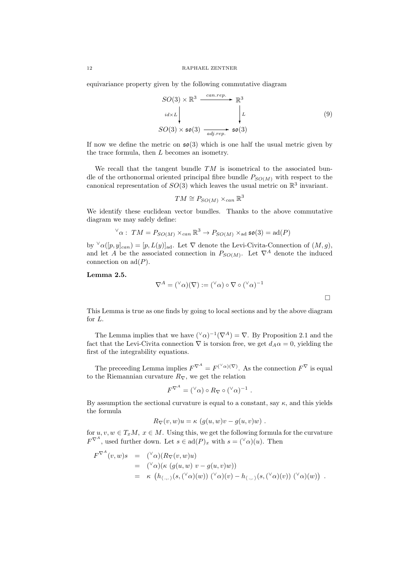equivariance property given by the following commutative diagram

$$
SO(3) \times \mathbb{R}^3 \xrightarrow{can. rep.} \mathbb{R}^3
$$
  
\n
$$
id \times L \downarrow \qquad \qquad L
$$
  
\n
$$
SO(3) \times \mathfrak{so}(3) \xrightarrow{adj. rep.} \mathfrak{so}(3)
$$
 (9)

If now we define the metric on  $\mathfrak{so}(3)$  which is one half the usual metric given by the trace formula, then L becomes an isometry.

We recall that the tangent bundle  $TM$  is isometrical to the associated bundle of the orthonormal oriented principal fibre bundle  $P_{SO(M)}$  with respect to the canonical representation of  $SO(3)$  which leaves the usual metric on  $\mathbb{R}^3$  invariant.

$$
TM \cong P_{SO(M)} \times_{can} \mathbb{R}^3
$$

We identify these euclidean vector bundles. Thanks to the above commutative diagram we may safely define:

$$
\vee_{\alpha}: TM = P_{SO(M)} \times_{can} \mathbb{R}^3 \to P_{SO(M)} \times_{\text{ad}} \mathfrak{so}(3) = \text{ad}(P)
$$

by  $\forall \alpha([p,y]_{can}) = [p, L(y)]_{ad}$ . Let  $\nabla$  denote the Levi-Civita-Connection of  $(M, g)$ , and let A be the associated connection in  $P_{SO(M)}$ . Let  $\nabla^A$  denote the induced connection on  $\text{ad}(P)$ .

Lemma 2.5.

$$
\nabla^A = (^\vee \alpha)(\nabla) := (^\vee \alpha) \circ \nabla \circ (^\vee \alpha)^{-1}
$$

 $\Box$ 

This Lemma is true as one finds by going to local sections and by the above diagram for L.

The Lemma implies that we have  $({}^{\vee}\alpha)^{-1}(\nabla^{A}) = \nabla$ . By Proposition 2.1 and the fact that the Levi-Civita connection  $\nabla$  is torsion free, we get  $d_A\alpha = 0$ , yielding the first of the integrability equations.

The preceeding Lemma implies  $F^{\nabla^A} = F^{(\vee_{\alpha})(\nabla)}$ . As the connection  $F^{\nabla}$  is equal to the Riemannian curvature  $R_{\nabla}$ , we get the relation

$$
F^{\nabla^A} = ({}^{\vee}\alpha) \circ R_{\nabla} \circ ({}^{\vee}\alpha)^{-1} .
$$

By assumption the sectional curvature is equal to a constant, say  $\kappa$ , and this yields the formula

$$
R_{\nabla}(v, w)u = \kappa \left( g(u, w)v - g(u, v)w \right).
$$

for  $u, v, w \in T_xM$ ,  $x \in M$ . Using this, we get the following formula for the curvature  $F^{\nabla^A}$ , used further down. Let  $s \in \text{ad}(P)_x$  with  $s = (\forall \alpha)(u)$ . Then

$$
F^{\nabla^A}(v, w)s = (\nabla \alpha)(R_{\nabla}(v, w)u)
$$
  
\n
$$
= (\nabla \alpha)(\kappa (g(u, w) v - g(u, v)w))
$$
  
\n
$$
= \kappa (h_{\langle ... \rangle}(s, (\nabla \alpha)(w)) (\nabla \alpha)(v) - h_{\langle ... \rangle}(s, (\nabla \alpha)(v)) (\nabla \alpha)(w)).
$$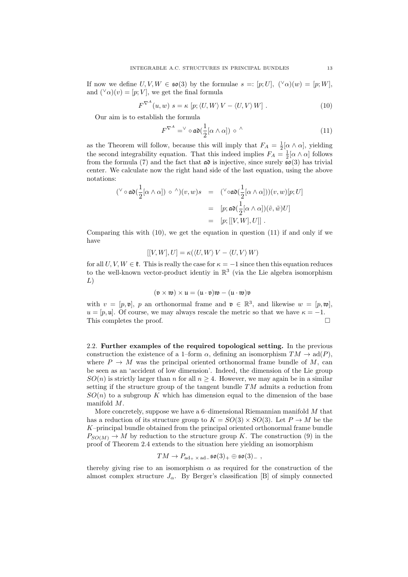If now we define  $U, V, W \in \mathfrak{so}(3)$  by the formulae  $s =: [p; U], (\forall \alpha)(w) = [p; W],$ and  $({}^{\vee}\alpha)(v) = [p; V]$ , we get the final formula

$$
F^{\nabla^{A}}(u, w) s = \kappa [p; \langle U, W \rangle V - \langle U, V \rangle W]. \qquad (10)
$$

Our aim is to establish the formula

$$
F^{\nabla^{A}} = \vee \circ \mathfrak{ad}(\frac{1}{2}[\alpha \wedge \alpha]) \circ \wedge \tag{11}
$$

as the Theorem will follow, because this will imply that  $F_A = \frac{1}{2} [\alpha \wedge \alpha]$ , yielding the second integrability equation. That this indeed implies  $F_A = \frac{1}{2} [\alpha \wedge \alpha]$  follows from the formula (7) and the fact that  $\mathfrak{a} \mathfrak{d}$  is injective, since surely  $\mathfrak{so}(3)$  has trivial center. We calculate now the right hand side of the last equation, using the above notations:

$$
\begin{array}{rcl}\n(^{\vee} \circ \mathfrak{ad}(\frac{1}{2}[\alpha \wedge \alpha]) \circ \wedge)(v, w)s & = & (^{\vee} \circ \mathfrak{ad}(\frac{1}{2}[\alpha \wedge \alpha])(v, w)[p; U] \\
 & = & [p; \mathfrak{ad}(\frac{1}{2}[\alpha \wedge \alpha])(\tilde{v}, \tilde{w})U] \\
 & = & [p; [[V, W], U]]\n\end{array}
$$

Comparing this with  $(10)$ , we get the equation in question  $(11)$  if and only if we have

$$
[[V, W], U] = \kappa(\langle U, W \rangle V - \langle U, V \rangle W)
$$

for all  $U, V, W \in \mathfrak{k}$ . This is really the case for  $\kappa = -1$  since then this equation reduces to the well-known vector-product identiy in  $\mathbb{R}^3$  (via the Lie algebra isomorphism L)

$$
(\mathfrak{v} \times \mathfrak{w}) \times \mathfrak{u} = (\mathfrak{u} \cdot \mathfrak{v})\mathfrak{w} - (\mathfrak{u} \cdot \mathfrak{w})\mathfrak{v}
$$

with  $v = [p, \mathfrak{v}], p$  an orthonormal frame and  $\mathfrak{v} \in \mathbb{R}^3$ , and likewise  $w = [p, \mathfrak{w}],$  $u = [p, \mathfrak{u}]$ . Of course, we may always rescale the metric so that we have  $\kappa = -1$ . This completes the proof.  $\square$ 

2.2. Further examples of the required topological setting. In the previous construction the existence of a 1–form  $\alpha$ , defining an isomorphism  $TM \to \text{ad}(P)$ , where  $P \to M$  was the principal oriented orthonormal frame bundle of M, can be seen as an 'accident of low dimension'. Indeed, the dimension of the Lie group  $SO(n)$  is strictly larger than n for all  $n \geq 4$ . However, we may again be in a similar setting if the structure group of the tangent bundle  $TM$  admits a reduction from  $SO(n)$  to a subgroup K which has dimension equal to the dimension of the base manifold M.

More concretely, suppose we have a 6-dimensional Riemannian manifold M that has a reduction of its structure group to  $K = SO(3) \times SO(3)$ . Let  $P \to M$  be the K–principal bundle obtained from the principal oriented orthonormal frame bundle  $P_{SO(M)} \to M$  by reduction to the structure group K. The construction (9) in the proof of Theorem 2.4 extends to the situation here yielding an isomorphism

$$
TM\to P_{\mathrm{ad}_+\,\times\,\mathrm{ad}_-}\mathfrak{so}(3)_+\oplus\mathfrak{so}(3)_-\ ,
$$

thereby giving rise to an isomorphism  $\alpha$  as required for the construction of the almost complex structure  $J_{\alpha}$ . By Berger's classification [B] of simply connected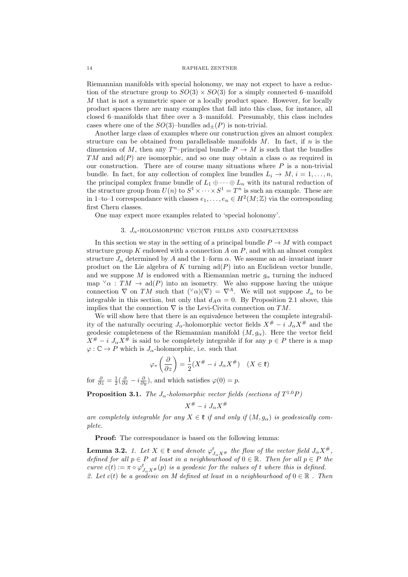#### 14 RAPHAEL ZENTNER

Riemannian manifolds with special holonomy, we may not expect to have a reduction of the structure group to  $SO(3) \times SO(3)$  for a simply connected 6–manifold M that is not a symmetric space or a locally product space. However, for locally product spaces there are many examples that fall into this class, for instance, all closed 6–manifolds that fibre over a 3–manifold. Presumably, this class includes cases where one of the  $SO(3)$ -bundles  $ad_{+}(P)$  is non-trivial.

Another large class of examples where our construction gives an almost complex structure can be obtained from parallelisable manifolds  $M$ . In fact, if  $n$  is the dimension of M, then any  $T<sup>n</sup>$ -principal bundle  $P \to M$  is such that the bundles TM and  $ad(P)$  are isomorphic, and so one may obtain a class  $\alpha$  as required in our construction. There are of course many situations where  $P$  is a non-trivial bundle. In fact, for any collection of complex line bundles  $L_i \to M$ ,  $i = 1, \ldots, n$ , the principal complex frame bundle of  $L_1 \oplus \cdots \oplus L_n$  with its natural reduction of the structure group from  $U(n)$  to  $S^1 \times \cdots \times S^1 = T^n$  is such an example. These are in 1-to–1 correspondance with classes  $e_1, \ldots, e_n \in H^2(M; \mathbb{Z})$  via the corresponding first Chern classes.

One may expect more examples related to 'special holonomy'.

## 3.  $J_{\alpha}$ -HOLOMORPHIC VECTOR FIELDS AND COMPLETENESS

In this section we stay in the setting of a principal bundle  $P \to M$  with compact structure group  $K$  endowed with a connection  $A$  on  $P$ , and with an almost complex structure  $J_{\alpha}$  determined by A and the 1–form  $\alpha$ . We assume an ad–invariant inner product on the Lie algebra of  $K$  turning  $ad(P)$  into an Euclidean vector bundle, and we suppose M is endowed with a Riemannian metric  $g_{\alpha}$  turning the induced map  $\vee \alpha : TM \to \text{ad}(P)$  into an isometry. We also suppose having the unique connection  $\nabla$  on  $TM$  such that  $({^{\vee}}\alpha)(\nabla) = \nabla^A$ . We will not suppose  $J_{\alpha}$  to be integrable in this section, but only that  $d_A \alpha = 0$ . By Proposition 2.1 above, this implies that the connection  $\nabla$  is the Levi-Civita connection on TM.

We will show here that there is an equivalence between the complete integrability of the naturally occuring  $J_{\alpha}$ -holomorphic vector fields  $X^{\#} - i J_{\alpha} X^{\#}$  and the geodesic completeness of the Riemannian manifold  $(M, g_{\alpha})$ . Here the vector field  $X^{\#} - i \, J_{\alpha} X^{\#}$  is said to be completely integrable if for any  $p \in P$  there is a map  $\varphi : \mathbb{C} \to P$  which is  $J_{\alpha}$ -holomorphic, i.e. such that

$$
\varphi_*\left(\frac{\partial}{\partial z}\right) = \frac{1}{2}(X^\# - i J_\alpha X^\#) \quad (X \in \mathfrak{k})
$$

for  $\frac{\partial}{\partial z} = \frac{1}{2}(\frac{\partial}{\partial x} - i\frac{\partial}{\partial y})$ , and which satisfies  $\varphi(0) = p$ .

**Proposition 3.1.** The  $J_{\alpha}$ -holomorphic vector fields (sections of  $T^{1,0}P$ )

$$
X^\# - i\ J_\alpha X^\#
$$

are completely integrable for any  $X \in \mathfrak{k}$  if and only if  $(M, g_{\alpha})$  is geodesically complete.

Proof: The correspondance is based on the following lemma:

**Lemma 3.2.** 1. Let  $X \in \mathfrak{k}$  and denote  $\varphi_{J_{\alpha}X^{\#}}^t$  the flow of the vector field  $J_{\alpha}X^{\#}$ , defined for all  $p \in P$  at least in a neighbourhood of  $0 \in \mathbb{R}$ . Then for all  $p \in P$  the curve  $c(t) := \pi \circ \varphi_{J_{\alpha}X^{\#}}^{t}(p)$  is a geodesic for the values of t where this is defined. 2. Let  $c(t)$  be a geodesic on M defined at least in a neighbourhood of  $0 \in \mathbb{R}$ . Then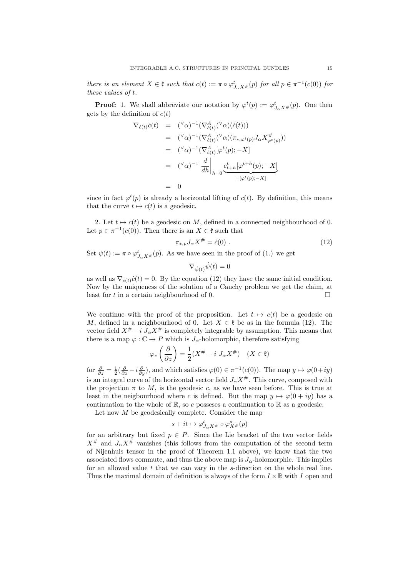there is an element  $X \in \mathfrak{k}$  such that  $c(t) := \pi \circ \varphi_{J_{\alpha}X^{\#}}^t(p)$  for all  $p \in \pi^{-1}(c(0))$  for these values of t.

**Proof:** 1. We shall abbreviate our notation by  $\varphi^t(p) := \varphi^t_{J_\alpha X^{\#}}(p)$ . One then gets by the definition of  $c(t)$ 

$$
\nabla_{\dot{c}(t)} \dot{c}(t) = (\alpha)^{-1} (\nabla^A_{\dot{c}(t)}(\alpha) (\dot{c}(t)))
$$
\n
$$
= (\alpha)^{-1} (\nabla^A_{\dot{c}(t)}(\alpha) (\pi_{*,\varphi^t(p)} J_\alpha X_{\varphi^t(p)}^{\#}))
$$
\n
$$
= (\alpha)^{-1} (\nabla^A_{\dot{c}(t)} [\varphi^t(p); -X])
$$
\n
$$
= (\alpha)^{-1} \frac{d}{dh} \bigg|_{h=0} \underbrace{c^t_{t+h} [\varphi^{t+h}(p); -X]}_{= [\varphi^t(p); -X]}
$$
\n
$$
= 0
$$

since in fact  $\varphi^t(p)$  is already a horizontal lifting of  $c(t)$ . By definition, this means that the curve  $t \mapsto c(t)$  is a geodesic.

2. Let  $t \mapsto c(t)$  be a geodesic on M, defined in a connected neighbourhood of 0. Let  $p \in \pi^{-1}(c(0))$ . Then there is an  $X \in \mathfrak{k}$  such that

$$
\pi_{*,p} J_{\alpha} X^{\#} = \dot{c}(0) \ . \tag{12}
$$

Set  $\psi(t) := \pi \circ \varphi_{J_{\alpha}X^{\#}}^{t}(p)$ . As we have seen in the proof of (1.) we get

$$
\nabla_{\dot{\psi}(t)}\dot{\psi}(t)=0
$$

as well as  $\nabla_{\dot{c}(t)}\dot{c}(t) = 0$ . By the equation (12) they have the same initial condition. Now by the uniqueness of the solution of a Cauchy problem we get the claim, at least for t in a certain neighbourhood of 0.

We continue with the proof of the proposition. Let  $t \mapsto c(t)$  be a geodesic on M, defined in a neighbourhood of 0. Let  $X \in \mathfrak{k}$  be as in the formula (12). The vector field  $X^# - i \tilde{J}_{\alpha} X^{\#}$  is completely integrable by assumption. This means that there is a map  $\varphi : \mathbb{C} \to P$  which is  $J_{\alpha}$ -holomorphic, therefore satisfying

$$
\varphi_*\left(\frac{\partial}{\partial z}\right) = \frac{1}{2}(X^\# - i J_\alpha X^\#) \quad (X \in \mathfrak{k})
$$

for  $\frac{\partial}{\partial z} = \frac{1}{2}(\frac{\partial}{\partial x} - i\frac{\partial}{\partial y})$ , and which satisfies  $\varphi(0) \in \pi^{-1}(c(0))$ . The map  $y \mapsto \varphi(0+iy)$ is an integral curve of the horizontal vector field  $J_{\alpha}X^{\#}$ . This curve, composed with the projection  $\pi$  to M, is the geodesic c, as we have seen before. This is true at least in the neigbourhood where c is defined. But the map  $y \mapsto \varphi(0 + iy)$  has a continuation to the whole of  $\mathbb{R}$ , so c possesses a continuation to  $\mathbb{R}$  as a geodesic.

Let now M be geodesically complete. Consider the map

$$
s+it\mapsto \varphi^t_{J_\alpha X^\#}\circ \varphi^s_{X^\#}(p)
$$

for an arbitrary but fixed  $p \in P$ . Since the Lie bracket of the two vector fields  $X^{\#}$  and  $J_{\alpha}X^{\#}$  vanishes (this follows from the computation of the second term of Nijenhuis tensor in the proof of Theorem 1.1 above), we know that the two associated flows commute, and thus the above map is  $J_{\alpha}$ -holomorphic. This implies for an allowed value  $t$  that we can vary in the  $s$ -direction on the whole real line. Thus the maximal domain of definition is always of the form  $I \times \mathbb{R}$  with I open and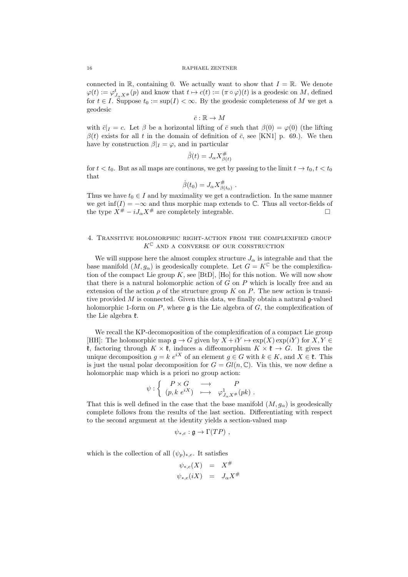connected in R, containing 0. We actually want to show that  $I = \mathbb{R}$ . We denote  $\varphi(t) := \varphi^t_{J_{\alpha}X^{\#}}(p)$  and know that  $t \mapsto c(t) := (\pi \circ \varphi)(t)$  is a geodesic on M, defined for  $t \in I$ . Suppose  $t_0 := \sup(I) < \infty$ . By the geodesic completeness of M we get a geodesic

 $\bar{c} : \mathbb{R} \to M$ 

with  $\bar{c}|_I = c$ . Let  $\beta$  be a horizontal lifting of  $\bar{c}$  such that  $\beta(0) = \varphi(0)$  (the lifting  $\beta(t)$  exists for all t in the domain of definition of  $\bar{c}$ , see [KN1] p. 69.). We then have by construction  $\beta|_I = \varphi$ , and in particular

$$
\dot{\beta}(t) = J_{\alpha} X^{\#}_{\beta(t)}
$$

for  $t < t_0$ . But as all maps are continous, we get by passing to the limit  $t \to t_0, t < t_0$ that

$$
\dot{\beta}(t_0) = J_\alpha X_{\beta(t_0)}^{\#}.
$$

Thus we have  $t_0 \in I$  and by maximality we get a contradiction. In the same manner we get inf(I) =  $-\infty$  and thus morphic map extends to  $\mathbb C$ . Thus all vector-fields of the type  $X^{\#} - iJ_{\alpha}X^{\#}$  are completely integrable.

## 4. Transitive holomorphic right-action from the complexified group  $K^{\mathbb{C}}$  and a converse of our construction

We will suppose here the almost complex structure  $J_{\alpha}$  is integrable and that the base manifold  $(M, g_{\alpha})$  is geodesically complete. Let  $G = K^{\mathbb{C}}$  be the complexification of the compact Lie group  $K$ , see [BtD], [Ho] for this notion. We will now show that there is a natural holomorphic action of  $G$  on  $P$  which is locally free and an extension of the action  $\rho$  of the structure group K on P. The new action is transitive provided  $M$  is connected. Given this data, we finally obtain a natural  $\mathfrak{g}\text{-valued}$ holomorphic 1-form on P, where  $\mathfrak q$  is the Lie algebra of G, the complexification of the Lie algebra  $\mathfrak k$ .

We recall the KP-decomoposition of the complexification of a compact Lie group [HH]: The holomorphic map  $\mathfrak{g} \to G$  given by  $X + iY \mapsto \exp(X) \exp(iY)$  for  $X, Y \in$ **t**, factoring through  $K \times \mathfrak{k}$ , induces a diffeomorphism  $K \times \mathfrak{k} \to G$ . It gives the unique decomposition  $g = k e^{iX}$  of an element  $g \in G$  with  $k \in K$ , and  $X \in \mathfrak{k}$ . This is just the usual polar decomposition for  $G = Gl(n, \mathbb{C})$ . Via this, we now define a holomorphic map which is a priori no group action:

$$
\psi : \left\{ \begin{array}{ccc} P \times G & \longrightarrow & P \\ (p, k \ e^{iX}) & \longmapsto & \varphi^1_{J_\alpha X^\#}(pk) \end{array} \right. .
$$

That this is well defined in the case that the base manifold  $(M, g_{\alpha})$  is geodesically complete follows from the results of the last section. Differentiating with respect to the second argument at the identity yields a section-valued map

$$
\psi_{*,e} : \mathfrak{g} \to \Gamma(TP) ,
$$

which is the collection of all  $(\psi_p)_{*,e}$ . It satisfies

$$
\psi_{*,e}(X) = X^{\#}
$$
  

$$
\psi_{*,e}(iX) = J_{\alpha}X^{\#}
$$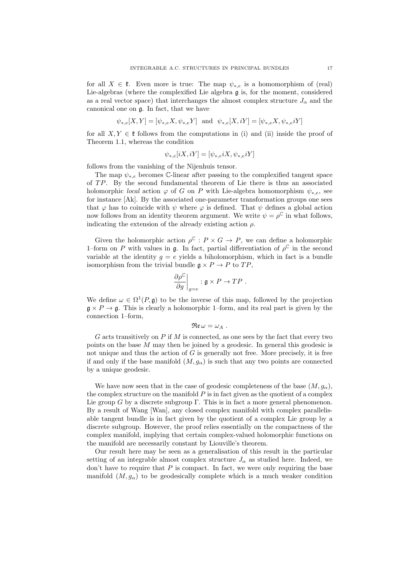for all  $X \in \mathfrak{k}$ . Even more is true: The map  $\psi_{*,e}$  is a homomorphism of (real) Lie-algebras (where the complexified Lie algebra  $\mathfrak g$  is, for the moment, considered as a real vector space) that interchanges the almost complex structure  $J_{\alpha}$  and the canonical one on g. In fact, that we have

$$
\psi_{*,e}[X,Y] = [\psi_{*,e}X, \psi_{*,e}Y]
$$
 and  $\psi_{*,e}[X,iY] = [\psi_{*,e}X, \psi_{*,e}iY]$ 

for all  $X, Y \in \mathfrak{k}$  follows from the computations in (i) and (ii) inside the proof of Theorem 1.1, whereas the condition

$$
\psi_{*,e}[iX,iY] = [\psi_{*,e}iX, \psi_{*,e}iY]
$$

follows from the vanishing of the Nijenhuis tensor.

The map  $\psi_{*,e}$  becomes C-linear after passing to the complexified tangent space of  $TP$ . By the second fundamental theorem of Lie there is thus an associated holomorphic *local* action  $\varphi$  of G on P with Lie-algebra homomorphism  $\psi_{*,e}$ , see for instance [Ak]. By the associated one-parameter transformation groups one sees that  $\varphi$  has to coincide with  $\psi$  where  $\varphi$  is defined. That  $\psi$  defines a global action now follows from an identity theorem argument. We write  $\psi = \rho^{\mathbb{C}}$  in what follows, indicating the extension of the already existing action  $\rho$ .

Given the holomorphic action  $\rho^{\mathbb{C}} : P \times G \to P$ , we can define a holomorphic 1–form on P with values in g. In fact, partial differentiation of  $\rho^{\mathbb{C}}$  in the second variable at the identity  $g = e$  yields a biholomorphism, which in fact is a bundle isomorphism from the trivial bundle  $\mathfrak{g} \times P \to P$  to  $TP$ ,

$$
\left. \frac{\partial \rho^{\mathbb{C}}}{\partial g} \right|_{g=e} : \mathfrak{g} \times P \to TP.
$$

We define  $\omega \in \Omega^1(P, \mathfrak{g})$  to be the inverse of this map, followed by the projection  $\mathfrak{g} \times P \to \mathfrak{g}$ . This is clearly a holomorphic 1–form, and its real part is given by the connection 1–form,

$$
\mathfrak{Re}\,\omega=\omega_A\,\,.
$$

 $G$  acts transitively on  $P$  if  $M$  is connected, as one sees by the fact that every two points on the base M may then be joined by a geodesic. In general this geodesic is not unique and thus the action of  $G$  is generally not free. More precisely, it is free if and only if the base manifold  $(M, g_{\alpha})$  is such that any two points are connected by a unique geodesic.

We have now seen that in the case of geodesic completeness of the base  $(M, g_{\alpha})$ , the complex structure on the manifold  $P$  is in fact given as the quotient of a complex Lie group G by a discrete subgroup  $\Gamma$ . This is in fact a more general phenomenon. By a result of Wang [Wan], any closed complex manifold with complex parallelisable tangent bundle is in fact given by the quotient of a complex Lie group by a discrete subgroup. However, the proof relies essentially on the compactness of the complex manifold, implying that certain complex-valued holomorphic functions on the manifold are necessarily constant by Liouville's theorem.

Our result here may be seen as a generalisation of this result in the particular setting of an integrable almost complex structure  $J_{\alpha}$  as studied here. Indeed, we don't have to require that  $P$  is compact. In fact, we were only requiring the base manifold  $(M, g_{\alpha})$  to be geodesically complete which is a much weaker condition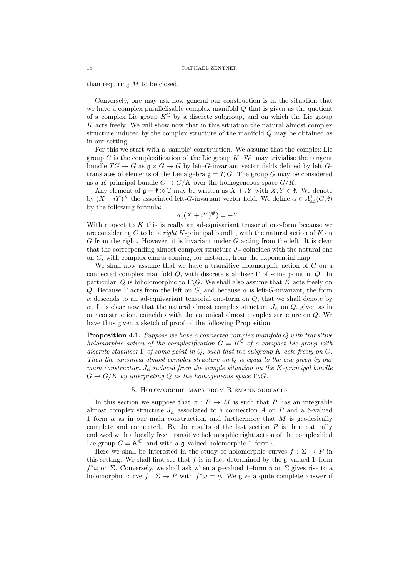than requiring  $M$  to be closed.

Conversely, one may ask how general our construction is in the situation that we have a complex parallelisable complex manifold  $Q$  that is given as the quotient of a complex Lie group  $K^{\mathbb{C}}$  by a discrete subgroup, and on which the Lie group  $K$  acts freely. We will show now that in this situation the natural almost complex structure induced by the complex structure of the manifold Q may be obtained as in our setting.

For this we start with a 'sample' construction. We assume that the complex Lie group  $G$  is the complexification of the Lie group  $K$ . We may trivialise the tangent bundle  $TG \to G$  as  $\mathfrak{g} \times G \to G$  by left-G-invariant vector fields defined by left Gtranslates of elements of the Lie algebra  $\mathfrak{g} = T_eG$ . The group G may be considered as a K-principal bundle  $G \to G/K$  over the homogeneous space  $G/K$ .

Any element of  $\mathfrak{g} = \mathfrak{k} \otimes \mathbb{C}$  may be written as  $X + iY$  with  $X, Y \in \mathfrak{k}$ . We denote by  $(X + iY)^{\#}$  the associated left-G-invariant vector field. We define  $\alpha \in A_{ad}^1(G; \mathfrak{k})$ by the following formula:

$$
\alpha((X+iY)^{\#}) = -Y.
$$

With respect to  $K$  this is really an ad-equivariant tensorial one-form because we are considering  $G$  to be a *right* K-principal bundle, with the natural action of  $K$  on  $G$  from the right. However, it is invariant under  $G$  acting from the left. It is clear that the corresponding almost complex structure  $J_{\alpha}$  coincides with the natural one on G, with complex charts coming, for instance, from the exponential map.

We shall now assume that we have a transitive holomorphic action of  $G$  on a connected complex manifold  $Q$ , with discrete stabiliser  $\Gamma$  of some point in  $Q$ . In particular, Q is biholomorphic to  $\Gamma \backslash G$ . We shall also assume that K acts freely on Q. Because  $\Gamma$  acts from the left on G, and because  $\alpha$  is left-G-invariant, the form  $\alpha$  descends to an ad-equivariant tensorial one-form on  $Q$ , that we shall denote by  $\bar{\alpha}$ . It is clear now that the natural almost complex structure  $J_{\bar{\alpha}}$  on Q, given as in our construction, coincides with the canonical almost complex structure on Q. We have thus given a sketch of proof of the following Proposition:

Proposition 4.1. Suppose we have a connected complex manifold Q with transitive holomorphic action of the complexification  $G = K^{\overline{C}}$  of a compact Lie group with discrete stabiliser  $\Gamma$  of some point in Q, such that the subgroup K acts freely on G. Then the canonical almost complex structure on Q is equal to the one given by our main construction  $J_{\overline{\alpha}}$  induced from the sample situation on the K-principal bundle  $G \to G/K$  by interpreting Q as the homogeneous space  $\Gamma \backslash G$ .

## 5. Holomorphic maps from Riemann surfaces

In this section we suppose that  $\pi : P \to M$  is such that P has an integrable almost complex structure  $J_{\alpha}$  associated to a connection A on P and a  $\ell$ -valued 1–form  $\alpha$  as in our main construction, and furthermore that M is geodesically complete and connected. By the results of the last section  $P$  is then naturally endowed with a locally free, transitive holomorphic right action of the complexified Lie group  $G = K^{\mathbb{C}}$ , and with a g-valued holomorphic 1–form  $\omega$ .

Here we shall be interested in the study of holomorphic curves  $f : \Sigma \to P$  in this setting. We shall first see that f is in fact determined by the  $\mathfrak{q}$ -valued 1–form  $f^*\omega$  on Σ. Conversely, we shall ask when a g-valued 1-form  $\eta$  on Σ gives rise to a holomorphic curve  $f : \Sigma \to P$  with  $f^* \omega = \eta$ . We give a quite complete answer if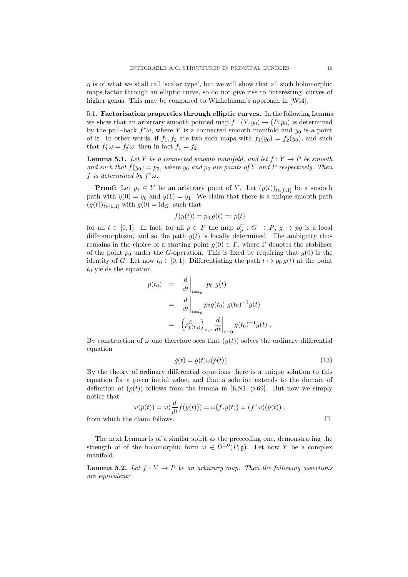$\eta$  is of what we shall call 'scalar type', but we will show that all such holomorphic maps factor through an elliptic curve, so do not give rise to 'interesting' curves of higher genus. This may be compared to Winkelmann's approach in [Wi4].

5.1. Factorisation properties through elliptic curves. In the following Lemma we show that an arbitrary smooth pointed map  $f : (Y, y_0) \to (P, p_0)$  is determined by the pull–back  $f^*\omega$ , where Y is a connected smooth manifold and  $y_0$  is a point of it. In other words, if  $f_1, f_2$  are two such maps with  $f_1(y_0) = f_2(y_0)$ , and such that  $f_1^*\omega = f_2^*\omega$ , then in fact  $f_1 = f_2$ .

**Lemma 5.1.** Let Y be a connected smooth manifold, and let  $f: Y \rightarrow P$  be smooth and such that  $f(y_0) = p_0$ , where  $y_0$  and  $p_0$  are points of Y and P respectively. Then f is determined by  $f^*\omega$ .

**Proof:** Let  $y_1 \in Y$  be an arbitrary point of Y. Let  $(y(t))_{t\in[0,1]}$  be a smooth path with  $y(0) = y_0$  and  $y(1) = y_1$ . We claim that there is a unique smooth path  $(g(t))_{t\in[0,1]}$  with  $g(0) = id_G$ , such that

$$
f(y(t)) = p_0 g(t) =: p(t)
$$

for all  $t \in [0,1]$ . In fact, for all  $p \in P$  the map  $\rho_p^{\mathbb{C}} : G \to P$ ,  $g \mapsto pg$  is a local diffeomorphism, and so the path  $g(t)$  is locally determined. The ambiguity thus remains in the choice of a starting point  $g(0) \in \Gamma$ , where  $\Gamma$  denotes the stabiliser of the point  $p_0$  under the G-operation. This is fixed by requiring that  $g(0)$  is the identity of G. Let now  $t_0 \in [0, 1]$ . Differentiating the path  $t \mapsto p_0 g(t)$  at the point  $t_0$  yields the equation

$$
\begin{array}{rcl}\n\dot{p}(t_0) & = & \frac{d}{dt} \Big|_{t=t_0} \quad p_0 \, g(t) \\
& = & \frac{d}{dt} \Big|_{t=t_0} \quad p_0 g(t_0) \, g(t_0)^{-1} g(t) \\
& = & \left( \rho_{p(t_0)}^{\mathbb{C}} \right)_{*,e} \frac{d}{dt} \Big|_{t=0} \, g(t_0)^{-1} g(t) \, .\n\end{array}
$$

By construction of  $\omega$  one therefore sees that  $(g(t))$  solves the ordinary differential equation

$$
\dot{g}(t) = g(t)\omega(\dot{p}(t)) \tag{13}
$$

By the theory of ordinary differential equations there is a unique solution to this equation for a given initial value, and that a solution extends to the domain of definition of  $(p(t))$  follows from the lemma in [KN1, p.69]. But now we simply notice that

$$
\omega(\dot{p}(t))=\omega(\frac{d}{dt}f(y(t)))=\omega(f_*\dot{y}(t))=(f^*\omega)(\dot{y}(t))\ ,
$$
 from which the claim follows.

The next Lemma is of a similar spirit as the preceeding one, demonstrating the strength of of the holomorphic form  $\omega \in \Omega^{1,0}(P, \mathfrak{g})$ . Let now Y be a complex manifold.

**Lemma 5.2.** Let  $f: Y \to P$  be an arbitrary map. Then the following assertions are equivalent: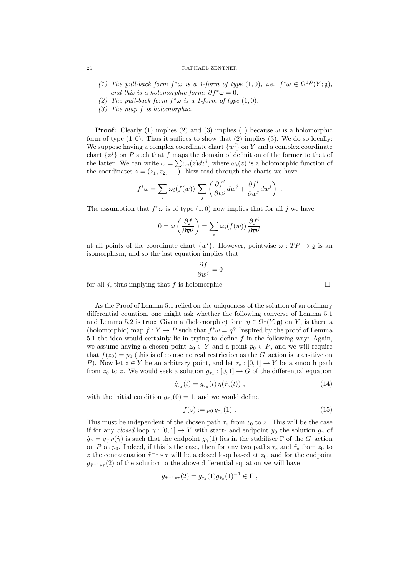## 20 RAPHAEL ZENTNER

- (1) The pull-back form  $f^*\omega$  is a 1-form of type  $(1,0)$ , i.e.  $f^*\omega \in \Omega^{1,0}(Y;\mathfrak{g})$ , and this is a holomorphic form:  $\partial f^* \omega = 0$ .
- (2) The pull-back form  $f^*\omega$  is a 1-form of type  $(1,0)$ .
- (3) The map f is holomorphic.

**Proof:** Clearly (1) implies (2) and (3) implies (1) because  $\omega$  is a holomorphic form of type  $(1, 0)$ . Thus it suffices to show that  $(2)$  implies  $(3)$ . We do so locally: We suppose having a complex coordinate chart  $\{w^i\}$  on Y and a complex coordinate chart  $\{z^j\}$  on P such that f maps the domain of definition of the former to that of the latter. We can write  $\omega = \sum \omega_i(z) dz^i$ , where  $\omega_i(z)$  is a holomorphic function of the coordinates  $z = (z_1, z_2, \dots)$ . Now read through the charts we have

$$
f^*\omega = \sum_i \omega_i(f(w)) \sum_j \left( \frac{\partial f^i}{\partial w^j} dw^j + \frac{\partial f^i}{\partial \overline{w}^j} d\overline{w}^j \right) .
$$

The assumption that  $f^*\omega$  is of type  $(1,0)$  now implies that for all j we have

$$
0 = \omega \left( \frac{\partial f}{\partial \overline{w}^j} \right) = \sum_i \omega_i(f(w)) \frac{\partial f^i}{\partial \overline{w}^j}
$$

at all points of the coordinate chart  $\{w^i\}$ . However, pointwise  $\omega : TP \to \mathfrak{g}$  is an isomorphism, and so the last equation implies that

$$
\frac{\partial f}{\partial \overline{w}^j} = 0
$$

for all j, thus implying that f is holomorphic.

As the Proof of Lemma 5.1 relied on the uniqueness of the solution of an ordinary differential equation, one might ask whether the following converse of Lemma 5.1 and Lemma 5.2 is true: Given a (holomorphic) form  $\eta \in \Omega^1(Y, \mathfrak{g})$  on Y, is there a (holomorphic) map  $f: Y \to P$  such that  $f^* \omega = \eta$ ? Inspired by the proof of Lemma 5.1 the idea would certainly lie in trying to define  $f$  in the following way: Again, we assume having a chosen point  $z_0 \in Y$  and a point  $p_0 \in P$ , and we will require that  $f(z_0) = p_0$  (this is of course no real restriction as the G-action is transitive on P). Now let  $z \in Y$  be an arbitrary point, and let  $\tau_z : [0,1] \to Y$  be a smooth path from  $z_0$  to z. We would seek a solution  $g_{\tau_z} : [0,1] \to G$  of the differential equation

$$
\dot{g}_{\tau_z}(t) = g_{\tau_z}(t) \eta(\dot{\tau}_z(t)) \;, \tag{14}
$$

with the initial condition  $g_{\tau_z}(0) = 1$ , and we would define

$$
f(z) := p_0 \, g_{\tau_z}(1) \tag{15}
$$

This must be independent of the chosen path  $\tau_z$  from  $z_0$  to z. This will be the case if for any closed loop  $\gamma : [0, 1] \to Y$  with start- and endpoint  $y_0$  the solution  $g_\gamma$  of  $\dot{g}_{\gamma} = g_{\gamma} \eta(\dot{\gamma})$  is such that the endpoint  $g_{\gamma}(1)$  lies in the stabiliser  $\Gamma$  of the G-action on P at  $p_0$ . Indeed, if this is the case, then for any two paths  $\tau_z$  and  $\tilde{\tau}_z$  from  $z_0$  to z the concatenation  $\tilde{\tau}^{-1} * \tau$  will be a closed loop based at  $z_0$ , and for the endpoint  $g_{\tilde{\tau}^{-1}*\tau}(2)$  of the solution to the above differential equation we will have

$$
g_{\tilde{\tau}^{-1}*\tau}(2) = g_{\tau_z}(1)g_{\tilde{\tau}_z}(1)^{-1} \in \Gamma ,
$$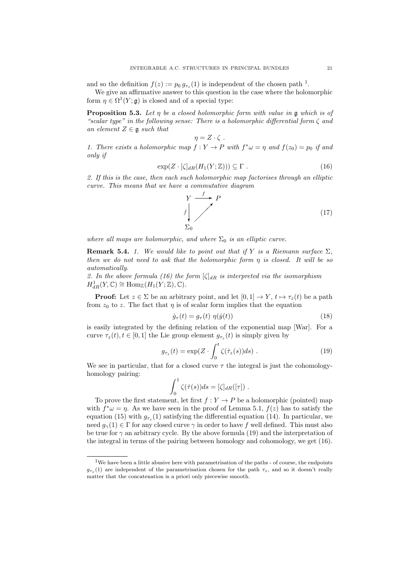and so the definition  $f(z) := p_0 g_{\tau_z}(1)$  is independent of the chosen path<sup>1</sup>.

We give an affirmative answer to this question in the case where the holomorphic form  $\eta \in \Omega^1(Y; \mathfrak{g})$  is closed and of a special type:

**Proposition 5.3.** Let  $\eta$  be a closed holomorphic form with value in  $\mathfrak g$  which is of "scalar type" in the following sense: There is a holomorphic differential form  $\zeta$  and an element  $Z \in \mathfrak{g}$  such that

$$
\eta = Z \cdot \zeta \; .
$$

1. There exists a holomorphic map  $f: Y \to P$  with  $f^* \omega = \eta$  and  $f(z_0) = p_0$  if and only if

$$
\exp(Z \cdot [\zeta]_{dR}(H_1(Y; \mathbb{Z}))) \subseteq \Gamma . \tag{16}
$$

2. If this is the case, then each such holomorphic map factorises through an elliptic curve. This means that we have a commutative diagram



where all maps are holomorphic, and where  $\Sigma_0$  is an elliptic curve.

**Remark 5.4.** 1. We would like to point out that if Y is a Riemann surface  $\Sigma$ . then we do not need to ask that the holomorphic form  $\eta$  is closed. It will be so automatically.

2. In the above formula (16) the form  $[\zeta]_{dR}$  is interpreted via the isomorphism  $H^1_{dR}(Y,\mathbb{C}) \cong \text{Hom}_{\mathbb{Z}}(H_1(Y;\mathbb{Z}),\mathbb{C}).$ 

**Proof:** Let  $z \in \Sigma$  be an arbitrary point, and let  $[0, 1] \rightarrow Y$ ,  $t \mapsto \tau_z(t)$  be a path from  $z_0$  to z. The fact that  $\eta$  is of scalar form implies that the equation

$$
\dot{g}_{\tau}(t) = g_{\tau}(t) \eta(\dot{y}(t)) \tag{18}
$$

is easily integrated by the defining relation of the exponential map [War]. For a curve  $\tau_z(t)$ ,  $t \in [0, 1]$  the Lie group element  $g_{\tau_z}(t)$  is simply given by

$$
g_{\tau_z}(t) = \exp(Z \cdot \int_0^t \zeta(\dot{\tau}_z(s))ds) \ . \tag{19}
$$

We see in particular, that for a closed curve  $\tau$  the integral is just the cohomologyhomology pairing:

$$
\int_0^1 \zeta(\dot{\tau}(s))ds = [\zeta]_{dR}([\tau]) .
$$

To prove the first statement, let first  $f: Y \to P$  be a holomorphic (pointed) map with  $f^*\omega = \eta$ . As we have seen in the proof of Lemma 5.1,  $f(z)$  has to satisfy the equation (15) with  $g_{\tau_z}(1)$  satisfying the differential equation (14). In particular, we need  $q_{\gamma}(1) \in \Gamma$  for any closed curve  $\gamma$  in order to have f well defined. This must also be true for  $\gamma$  an arbitrary cycle. By the above formula (19) and the interpretation of the integral in terms of the pairing between homology and cohomology, we get (16).

<sup>1</sup>We have been a little abusive here with parametrisation of the paths - of course, the endpoints  $g_{\tau_z}(1)$  are independent of the parametrisation chosen for the path  $\tau_z$ , and so it doesn't really matter that the concatenation is a priori only piecewise smooth.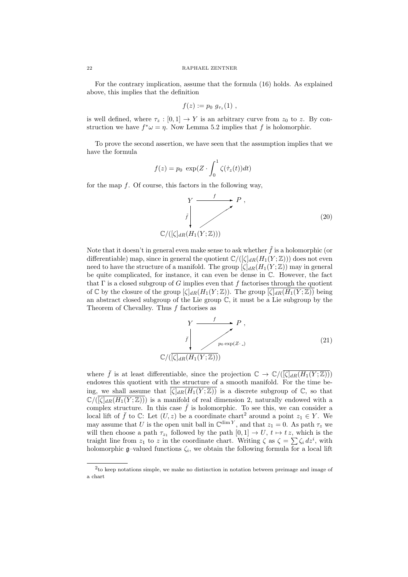For the contrary implication, assume that the formula (16) holds. As explained above, this implies that the definition

$$
f(z) := p_0 \ g_{\tau_z}(1) ,
$$

is well defined, where  $\tau_z : [0,1] \to Y$  is an arbitrary curve from  $z_0$  to z. By construction we have  $f^*\omega = \eta$ . Now Lemma 5.2 implies that f is holomorphic.

To prove the second assertion, we have seen that the assumption implies that we have the formula

$$
f(z) = p_0 \exp(Z \cdot \int_0^1 \zeta(\dot{\tau}_z(t)) dt)
$$

for the map  $f$ . Of course, this factors in the following way,

$$
Y \xrightarrow{f} P,
$$
  
\n
$$
\int_{\mathbb{C}/(\lceil \zeta \rceil_{dR} (H_1(Y; \mathbb{Z})))} f
$$
\n(20)

Note that it doesn't in general even make sense to ask whether  $\tilde{f}$  is a holomorphic (or differentiable) map, since in general the quotient  $\mathbb{C}/(\lbrack \zeta \rbrack_{dR}(H_1(Y;\mathbb{Z}))$  does not even need to have the structure of a manifold. The group  $[\zeta]_{dR}(H_1(Y;\mathbb{Z}))$  may in general be quite complicated, for instance, it can even be dense in C. However, the fact that  $\Gamma$  is a closed subgroup of G implies even that f factorises through the quotient of C by the closure of the group  $[\zeta]_{dR}(H_1(Y;\mathbb{Z}))$ . The group  $[\zeta]_{dR}(H_1(Y;\mathbb{Z}))$  being an abstract closed subgroup of the Lie group  $\mathbb{C}$ , it must be a Lie subgroup by the Theorem of Chevalley. Thus  $f$  factorises as

$$
Y \xrightarrow{f} P,
$$
  

$$
\bar{f} \downarrow_{p_0 \exp(Z \cdot \cdot)} \qquad (21)
$$
  

$$
\mathbb{C}/(\overline{[\zeta]_{dR}(H_1(Y;\mathbb{Z})))}
$$

where  $\bar{f}$  is at least differentiable, since the projection  $\mathbb{C} \to \mathbb{C}/(\overline{\left[\zeta\right]_{dR}(H_1(Y;\mathbb{Z}))})$ endowes this quotient with the structure of a smooth manifold. For the time being, we shall assume that  $\overline{\zeta|_{dR}(H_1(Y;\mathbb{Z}))}$  is a discrete subgroup of  $\mathbb{C}$ , so that  $\mathbb{C}/(\overline{\zeta|_{dR}(H_1(Y;\mathbb{Z}))})$  is a manifold of real dimension 2, naturally endowed with a complex structure. In this case  $\bar{f}$  is holomorphic. To see this, we can consider a local lift of  $\bar{f}$  to  $\mathbb{C}$ : Let  $(U, z)$  be a coordinate chart<sup>2</sup> around a point  $z_1 \in Y$ . We may assume that U is the open unit ball in  $\mathbb{C}^{\dim Y}$ , and that  $z_1 = 0$ . As path  $\tau_z$  we will then choose a path  $\tau_{z_1}$  followed by the path  $[0, 1] \to U$ ,  $t \mapsto tz$ , which is the traight line from  $z_1$  to z in the coordinate chart. Writing  $\zeta$  as  $\zeta = \sum \zeta_i dz^i$ , with holomorphic  $\mathfrak{g}$ -valued functions  $\zeta_i$ , we obtain the following formula for a local lift

<sup>2</sup> to keep notations simple, we make no distinction in notation between preimage and image of a chart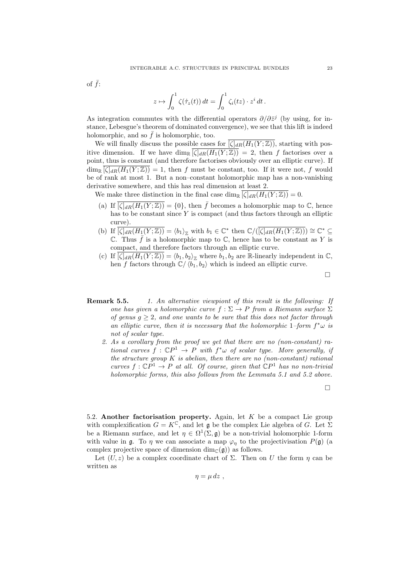of  $\bar{f}$ :

$$
z \mapsto \int_0^1 \zeta(\dot{\tau}_z(t)) dt = \int_0^1 \zeta_i(tz) \cdot z^i dt.
$$

As integration commutes with the differential operators  $\partial/\partial \bar{z}^j$  (by using, for instance, Lebesgue's theorem of dominated convergence), we see that this lift is indeed holomorphic, and so  $\bar{f}$  is holomorphic, too.

We will finally discuss the possible cases for  $[\zeta]_{dR}(H_1(Y;\mathbb{Z}))$ , starting with positive dimension. If we have  $\dim_{\mathbb{R}}[\zeta]_{dR}(H_1(Y;\mathbb{Z})) = 2$ , then f factorises over a point, thus is constant (and therefore factorises obviously over an elliptic curve). If  $\dim_{\mathbb{R}} \overline{[\zeta]_{dR}(H_1(Y;\mathbb{Z}))} = 1$ , then f must be constant, too. If it were not, f would be of rank at most 1. But a non–constant holomorphic map has a non-vanishing derivative somewhere, and this has real dimension at least 2.

We make three distinction in the final case  $\dim_{\mathbb{R}} [\zeta]_{dR}(H_1(Y;\mathbb{Z})) = 0.$ 

- (a) If  $\overline{[\zeta]_{dR}(H_1(Y;\mathbb{Z}))} = \{0\}$ , then  $\overline{f}$  becomes a holomorphic map to  $\mathbb{C}$ , hence has to be constant since  $Y$  is compact (and thus factors through an elliptic curve).
- (b) If  $\overline{\zeta|_{dR}(H_1(Y;\mathbb{Z}))} = \langle b_1 \rangle_{\mathbb{Z}}$  with  $b_1 \in \mathbb{C}^*$  then  $\mathbb{C}/(\overline{\zeta|_{dR}(H_1(Y;\mathbb{Z}))}) \cong \mathbb{C}^* \subseteq$  $\mathbb C$ . Thus  $\bar{f}$  is a holomorphic map to  $\mathbb C$ , hence has to be constant as Y is compact, and therefore factors through an elliptic curve.
- (c) If  $[\zeta]_{dR}(H_1(Y;\mathbb{Z})) = \langle b_1, b_2 \rangle_{\mathbb{Z}}$  where  $b_1, b_2$  are R-linearly independent in  $\mathbb{C}$ , hen f factors through  $\mathbb{C}/\langle b_1, b_2 \rangle$  which is indeed an elliptic curve.

 $\Box$ 

- **Remark 5.5.** 1. An alternative viewpiont of this result is the following: If one has given a holomorphic curve  $f : \Sigma \to P$  from a Riemann surface  $\Sigma$ of genus  $g \geq 2$ , and one wants to be sure that this does not factor through an elliptic curve, then it is necessary that the holomorphic 1–form  $f^*\omega$  is not of scalar type.
	- 2. As a corollary from the proof we get that there are no (non-constant) rational curves  $f: \mathbb{C}P^1 \to P$  with  $f^*\omega$  of scalar type. More generally, if the structure group  $K$  is abelian, then there are no (non-constant) rational curves  $f: \mathbb{C}P^1 \to P$  at all. Of course, given that  $\mathbb{C}P^1$  has no non-trivial holomorphic forms, this also follows from the Lemmata 5.1 and 5.2 above.

 $\Box$ 

5.2. Another factorisation property. Again, let  $K$  be a compact Lie group with complexification  $G = K^{\mathbb{C}}$ , and let  $\mathfrak g$  be the complex Lie algebra of G. Let  $\Sigma$ be a Riemann surface, and let  $\eta \in \Omega^1(\Sigma, \mathfrak{g})$  be a non-trivial holomorphic 1-form with value in g. To  $\eta$  we can associate a map  $\varphi_{\eta}$  to the projectivisation  $P(\mathfrak{g})$  (a complex projective space of dimension  $\dim_{\mathbb{C}}(\mathfrak{g})$  as follows.

Let  $(U, z)$  be a complex coordinate chart of  $\Sigma$ . Then on U the form  $\eta$  can be written as

 $\eta = \mu dz$ ,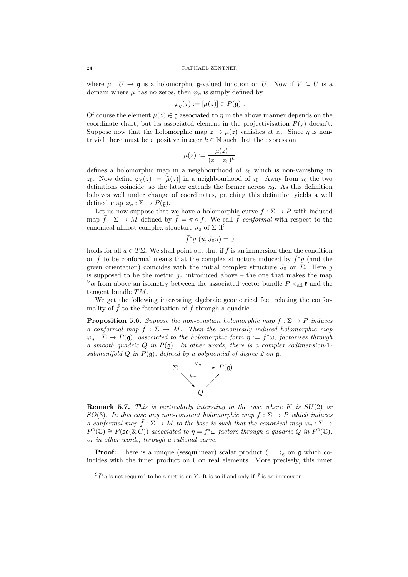where  $\mu : U \to \mathfrak{g}$  is a holomorphic g-valued function on U. Now if  $V \subseteq U$  is a domain where  $\mu$  has no zeros, then  $\varphi_{\eta}$  is simply defined by

$$
\varphi_{\eta}(z) := [\mu(z)] \in P(\mathfrak{g}) \ .
$$

Of course the element  $\mu(z) \in \mathfrak{g}$  associated to  $\eta$  in the above manner depends on the coordinate chart, but its associated element in the projectivisation  $P(\mathfrak{g})$  doesn't. Suppose now that the holomorphic map  $z \mapsto \mu(z)$  vanishes at  $z_0$ . Since  $\eta$  is nontrivial there must be a positive integer  $k \in \mathbb{N}$  such that the expression

$$
\tilde{\mu}(z) := \frac{\mu(z)}{(z - z_0)^k}
$$

defines a holomorphic map in a neighbourhood of  $z_0$  which is non-vanishing in  $z_0$ . Now define  $\varphi_n(z) := [\tilde{\mu}(z)]$  in a neighbourhood of  $z_0$ . Away from  $z_0$  the two definitions coincide, so the latter extends the former across  $z_0$ . As this definition behaves well under change of coordinates, patching this definition yields a well defined map  $\varphi_{\eta}: \Sigma \to P(\mathfrak{g}).$ 

Let us now suppose that we have a holomorphic curve  $f : \Sigma \to P$  with induced map  $\bar{f}: \Sigma \to M$  defined by  $\bar{f} = \pi \circ f$ . We call  $\bar{f}$  conformal with respect to the canonical almost complex structure  $J_0$  of  $\Sigma$  if<sup>3</sup>

$$
\bar{f}^*g\ (u,J_0u)=0
$$

holds for all  $u \in T\Sigma$ . We shall point out that if  $\bar{f}$  is an immersion then the condition on  $\bar{f}$  to be conformal means that the complex structure induced by  $\bar{f}^*g$  (and the given orientation) coincides with the initial complex structure  $J_0$  on  $\Sigma$ . Here g is supposed to be the metric  $g_{\alpha}$  introduced above – the one that makes the map  $\vee \alpha$  from above an isometry between the associated vector bundle  $P \times_{\text{ad}} \mathfrak{k}$  and the tangent bundle TM.

We get the following interesting algebraic geometrical fact relating the conformality of  $\bar{f}$  to the factorisation of f through a quadric.

**Proposition 5.6.** Suppose the non-constant holomorphic map  $f : \Sigma \to P$  induces a conformal map  $\bar{f}: \Sigma \to M$ . Then the canonically induced holomorphic map  $\varphi_{\eta}: \Sigma \to P(\mathfrak{g})$ , associated to the holomorphic form  $\eta := f^*\omega$ , factorises through a smooth quadric  $Q$  in  $P(\mathfrak{g})$ . In other words, there is a complex codimension-1submanifold  $Q$  in  $P(\mathfrak{g})$ , defined by a polynomial of degree 2 on  $\mathfrak{g}$ .



**Remark 5.7.** This is particularly intersting in the case where K is  $SU(2)$  or SO(3). In this case any non-constant holomorphic map  $f : \Sigma \to P$  which induces a conformal map  $\bar{f} : \Sigma \to M$  to the base is such that the canonical map  $\varphi_n : \Sigma \to M$  $P^2(\mathbb{C}) \cong P(\mathfrak{so}(3; C))$  associated to  $\eta = f^*\omega$  factors through a quadric  $Q$  in  $P^2(\mathbb{C}),$ or in other words, through a rational curve.

**Proof:** There is a unique (sesquilinear) scalar product  $\langle ., . \rangle_{\mathfrak{g}}$  on  $\mathfrak{g}$  which coincides with the inner product on  $\mathfrak k$  on real elements. More precisely, this inner

 $3\bar{f}$ <sup>\*</sup>g is not required to be a metric on Y. It is so if and only if  $\bar{f}$  is an immersion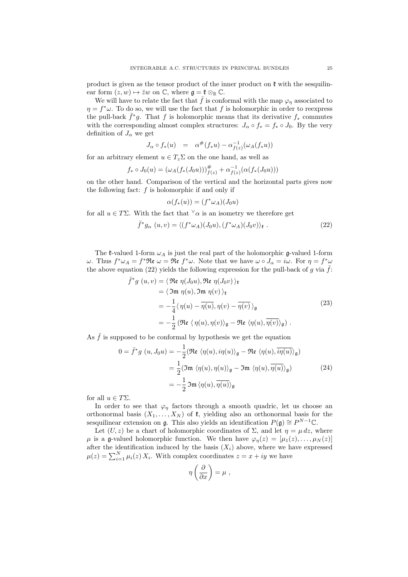product is given as the tensor product of the inner product on  $\mathfrak k$  with the sesquilinear form  $(z, w) \mapsto \overline{z}w$  on  $\mathbb{C}$ , where  $\mathfrak{g} = \mathfrak{k} \otimes_{\mathbb{R}} \mathbb{C}$ .

We will have to relate the fact that  $\bar{f}$  is conformal with the map  $\varphi_{\eta}$  associated to  $\eta = f^* \omega$ . To do so, we will use the fact that f is holomorphic in order to reexpress the pull-back  $\bar{f}^*g$ . That f is holomorphic means that its derivative  $f_*$  commutes with the corresponding almost complex structures:  $J_{\alpha} \circ f_* = f_* \circ J_0$ . By the very definition of  $J_{\alpha}$  we get

$$
J_{\alpha}\circ f_*(u) = \alpha^{\#}(f_*u) - \alpha^{-1}_{f(z)}(\omega_A(f_*u))
$$

for an arbitrary element  $u \in T_z \Sigma$  on the one hand, as well as

$$
f_* \circ J_0(u) = (\omega_A(f_*(J_0u)))_{f(z)}^{\#} + \alpha_{f(z)}^{-1}(\alpha(f_*(J_0u)))
$$

on the other hand. Comparison of the vertical and the horizontal parts gives now the following fact:  $f$  is holomorphic if and only if

$$
\alpha(f_*(u)) = (f^*\omega_A)(J_0u)
$$

for all  $u \in T\Sigma$ . With the fact that  $\forall \alpha$  is an isometry we therefore get

$$
\bar{f}^*g_\alpha(u,v) = \langle (f^*\omega_A)(J_0u), (f^*\omega_A)(J_0v) \rangle_{\mathfrak{k}}.
$$
\n(22)

The  $\ell$ -valued 1-form  $\omega_A$  is just the real part of the holomorphic g-valued 1-form ω. Thus  $f^*\omega_A = f^*\Re{\mathfrak{e}} \omega = \Re{\mathfrak{e}} f^*\omega$ . Note that we have ω ο  $J_\alpha = i\omega$ . For  $η = f^*\omega$ the above equation (22) yields the following expression for the pull-back of g via  $f$ :

$$
\begin{split} \bar{f}^*g \ (u,v) &= \langle \, \Re\mathfrak{e} \ \eta(J_0u), \Re\mathfrak{e} \ \eta(J_0v) \, \rangle_{\mathfrak{k}} \\ &= \langle \, \Im\mathfrak{m} \ \eta(u), \Im\mathfrak{m} \ \eta(v) \, \rangle_{\mathfrak{k}} \\ &= -\frac{1}{4} \langle \, \eta(u) - \overline{\eta(u)}, \eta(v) - \overline{\eta(v)} \, \rangle_{\mathfrak{g}} \\ &= -\frac{1}{2} \left( \Re\mathfrak{e} \ \langle \, \eta(u), \eta(v) \rangle_{\mathfrak{g}} - \Re\mathfrak{e} \ \langle \eta(u), \overline{\eta(v)} \rangle_{\mathfrak{g}} \right) \,. \end{split} \tag{23}
$$

As  $\bar{f}$  is supposed to be conformal by hypothesis we get the equation

$$
0 = \bar{f}^* g(u, J_0 u) = -\frac{1}{2} (\Re \epsilon \langle \eta(u), i\eta(u) \rangle_{\mathfrak{g}} - \Re \epsilon \langle \eta(u), \overline{i\eta(u)} \rangle_{\mathfrak{g}})
$$
  

$$
= \frac{1}{2} (\Im \eta \langle \eta(u), \eta(u) \rangle_{\mathfrak{g}} - \Im \eta \langle \eta(u), \overline{\eta(u)} \rangle_{\mathfrak{g}})
$$
  

$$
= -\frac{1}{2} \Im \eta \langle \eta(u), \overline{\eta(u)} \rangle_{\mathfrak{g}}
$$
 (24)

for all  $u \in T\Sigma$ .

In order to see that  $\varphi_{\eta}$  factors through a smooth quadric, let us choose an orthonormal basis  $(X_1, \ldots, X_N)$  of  $\mathfrak{k}$ , yielding also an orthonormal basis for the sesquilinear extension on g. This also yields an identification  $P(\mathfrak{g}) \cong P^{N-1}\mathbb{C}$ .

Let  $(U, z)$  be a chart of holomorphic coordinates of  $\Sigma$ , and let  $\eta = \mu dz$ , where  $\mu$  is a g-valued holomorphic function. We then have  $\varphi_{\eta}(z) = [\mu_1(z), \ldots, \mu_N(z)]$ after the identification induced by the basis  $(X_i)$  above, where we have expressed  $\mu(z) = \sum_{i=1}^{N} \mu_i(z) X_i$ . With complex coordinates  $z = x + iy$  we have

$$
\eta\left(\frac{\partial}{\partial x}\right) = \mu \ ,
$$